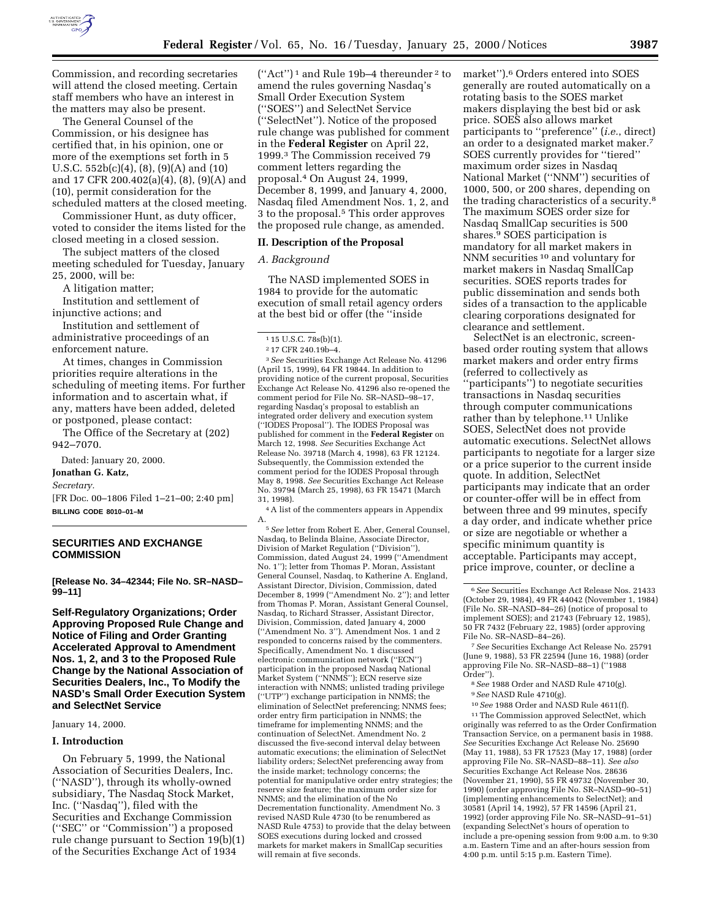

Commission, and recording secretaries will attend the closed meeting. Certain staff members who have an interest in the matters may also be present.

The General Counsel of the Commission, or his designee has certified that, in his opinion, one or more of the exemptions set forth in 5 U.S.C. 552b(c)(4), (8), (9)(A) and (10) and 17 CFR 200.402(a)(4), (8), (9)(A) and (10), permit consideration for the scheduled matters at the closed meeting.

Commissioner Hunt, as duty officer, voted to consider the items listed for the closed meeting in a closed session.

The subject matters of the closed meeting scheduled for Tuesday, January 25, 2000, will be:

A litigation matter;

Institution and settlement of injunctive actions; and

Institution and settlement of administrative proceedings of an enforcement nature.

At times, changes in Commission priorities require alterations in the scheduling of meeting items. For further information and to ascertain what, if any, matters have been added, deleted or postponed, please contact:

The Office of the Secretary at (202) 942–7070.

Dated: January 20, 2000.

# **Jonathan G. Katz,**

*Secretary.*

[FR Doc. 00–1806 Filed 1–21–00; 2:40 pm] **BILLING CODE 8010–01–M**

# **SECURITIES AND EXCHANGE COMMISSION**

**[Release No. 34–42344; File No. SR–NASD– 99–11]**

**Self-Regulatory Organizations; Order Approving Proposed Rule Change and Notice of Filing and Order Granting Accelerated Approval to Amendment Nos. 1, 2, and 3 to the Proposed Rule Change by the National Association of Securities Dealers, Inc., To Modify the NASD's Small Order Execution System and SelectNet Service**

# January 14, 2000.

# **I. Introduction**

On February 5, 1999, the National Association of Securities Dealers, Inc. (''NASD''), through its wholly-owned subsidiary, The Nasdaq Stock Market, Inc. (''Nasdaq''), filed with the Securities and Exchange Commission (''SEC'' or ''Commission'') a proposed rule change pursuant to Section 19(b)(1) of the Securities Exchange Act of 1934

 $("Act")^1$  and Rule 19b-4 thereunder<sup>2</sup> to amend the rules governing Nasdaq's Small Order Execution System (''SOES'') and SelectNet Service (''SelectNet''). Notice of the proposed rule change was published for comment in the **Federal Register** on April 22, 1999.3 The Commission received 79 comment letters regarding the proposal.4 On August 24, 1999, December 8, 1999, and January 4, 2000, Nasdaq filed Amendment Nos. 1, 2, and 3 to the proposal.5 This order approves the proposed rule change, as amended.

# **II. Description of the Proposal**

# *A. Background*

The NASD implemented SOES in 1984 to provide for the automatic execution of small retail agency orders at the best bid or offer (the ''inside

1 15 U.S.C. 78s(b)(1).

3*See* Securities Exchange Act Release No. 41296 (April 15, 1999), 64 FR 19844. In addition to providing notice of the current proposal, Securities Exchange Act Release No. 41296 also re-opened the comment period for File No. SR–NASD–98–17, regarding Nasdaq's proposal to establish an integrated order delivery and execution system (''IODES Proposal''). The IODES Proposal was published for comment in the **Federal Register** on March 12, 1998. *See* Securities Exchange Act Release No. 39718 (March 4, 1998), 63 FR 12124. Subsequently, the Commission extended the comment period for the IODES Proposal through May 8, 1998. *See* Securities Exchange Act Release No. 39794 (March 25, 1998), 63 FR 15471 (March 31, 1998).

4A list of the commenters appears in Appendix A.

5*See* letter from Robert E. Aber, General Counsel, Nasdaq, to Belinda Blaine, Associate Director, Division of Market Regulation (''Division''), Commission, dated August 24, 1999 (''Amendment No. 1''); letter from Thomas P. Moran, Assistant General Counsel, Nasdaq, to Katherine A. England, Assistant Director, Division, Commission, dated December 8, 1999 (''Amendment No. 2''); and letter from Thomas P. Moran, Assistant General Counsel, Nasdaq, to Richard Strasser, Assistant Director, Division, Commission, dated January 4, 2000 (''Amendment No. 3''). Amendment Nos. 1 and 2 responded to concerns raised by the commenters. Specifically, Amendment No. 1 discussed electronic communication network (''ECN'') participation in the proposed Nasdaq National Market System (''NNMS''); ECN reserve size interaction with NNMS; unlisted trading privilege (''UTP'') exchange participation in NNMS; the elimination of SelectNet preferencing; NNMS fees; order entry firm participation in NNMS; the timeframe for implementing NNMS; and the continuation of SelectNet. Amendment No. 2 discussed the five-second interval delay between automatic executions; the elimination of SelectNet liability orders; SelectNet preferencing away from the inside market; technology concerns; the potential for manipulative order entry strategies; the reserve size feature; the maximum order size for NNMS; and the elimination of the No Decrementation functionality. Amendment No. 3 revised NASD Rule 4730 (to be renumbered as NASD Rule 4753) to provide that the delay between SOES executions during locked and crossed markets for market makers in SmallCap securities will remain at five seconds.

market'').6 Orders entered into SOES generally are routed automatically on a rotating basis to the SOES market makers displaying the best bid or ask price. SOES also allows market participants to ''preference'' (*i.e.*, direct) an order to a designated market maker.7 SOES currently provides for ''tiered'' maximum order sizes in Nasdaq National Market (''NNM'') securities of 1000, 500, or 200 shares, depending on the trading characteristics of a security.8 The maximum SOES order size for Nasdaq SmallCap securities is 500 shares.9 SOES participation is mandatory for all market makers in NNM securities 10 and voluntary for market makers in Nasdaq SmallCap securities. SOES reports trades for public dissemination and sends both sides of a transaction to the applicable clearing corporations designated for clearance and settlement.

SelectNet is an electronic, screenbased order routing system that allows market makers and order entry firms (referred to collectively as ''participants'') to negotiate securities transactions in Nasdaq securities through computer communications rather than by telephone.<sup>11</sup> Unlike SOES, SelectNet does not provide automatic executions. SelectNet allows participants to negotiate for a larger size or a price superior to the current inside quote. In addition, SelectNet participants may indicate that an order or counter-offer will be in effect from between three and 99 minutes, specify a day order, and indicate whether price or size are negotiable or whether a specific minimum quantity is acceptable. Participants may accept, price improve, counter, or decline a

10*See* 1988 Order and NASD Rule 4611(f).

<sup>11</sup>The Commission approved SelectNet, which originally was referred to as the Order Confirmation Transaction Service, on a permanent basis in 1988. *See* Securities Exchange Act Release No. 25690 (May 11, 1988), 53 FR 17523 (May 17, 1988) (order approving File No. SR–NASD–88–11). *See also* Securities Exchange Act Release Nos. 28636 (November 21, 1990), 55 FR 49732 (November 30, 1990) (order approving File No. SR–NASD–90–51) (implementing enhancements to SelectNet); and 30581 (April 14, 1992), 57 FR 14596 (April 21, 1992) (order approving File No. SR–NASD–91–51) (expanding SelectNet's hours of operation to include a pre-opening session from 9:00 a.m. to 9:30 a.m. Eastern Time and an after-hours session from 4:00 p.m. until 5:15 p.m. Eastern Time).

<sup>2</sup> 17 CFR 240.19b–4.

<sup>6</sup>*See* Securities Exchange Act Release Nos. 21433 (October 29, 1984), 49 FR 44042 (November 1, 1984) (File No. SR–NASD–84–26) (notice of proposal to implement SOES); and 21743 (February 12, 1985), 50 FR 7432 (February 22, 1985) (order approving File No. SR–NASD–84–26).

<sup>7</sup>*See* Securities Exchange Act Release No. 25791 (June 9, 1988), 53 FR 22594 (June 16, 1988) (order approving File No. SR–NASD–88–1) (''1988 Order'').

<sup>8</sup>*See* 1988 Order and NASD Rule 4710(g). 9*See* NASD Rule 4710(g).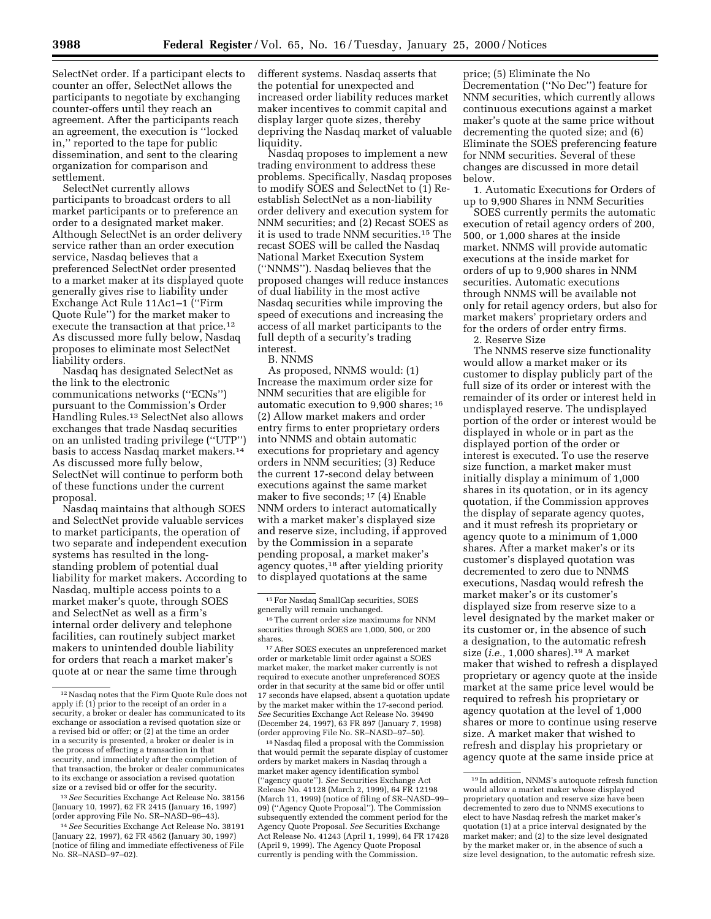SelectNet order. If a participant elects to counter an offer, SelectNet allows the participants to negotiate by exchanging counter-offers until they reach an agreement. After the participants reach an agreement, the execution is ''locked in,'' reported to the tape for public dissemination, and sent to the clearing organization for comparison and settlement.

SelectNet currently allows participants to broadcast orders to all market participants or to preference an order to a designated market maker. Although SelectNet is an order delivery service rather than an order execution service, Nasdaq believes that a preferenced SelectNet order presented to a market maker at its displayed quote generally gives rise to liability under Exchange Act Rule 11Ac1–1 (''Firm Quote Rule'') for the market maker to execute the transaction at that price.<sup>12</sup> As discussed more fully below, Nasdaq proposes to eliminate most SelectNet liability orders.

Nasdaq has designated SelectNet as the link to the electronic communications networks (''ECNs'') pursuant to the Commission's Order Handling Rules.13 SelectNet also allows exchanges that trade Nasdaq securities on an unlisted trading privilege (''UTP'') basis to access Nasdaq market makers.14 As discussed more fully below, SelectNet will continue to perform both of these functions under the current proposal.

Nasdaq maintains that although SOES and SelectNet provide valuable services to market participants, the operation of two separate and independent execution systems has resulted in the longstanding problem of potential dual liability for market makers. According to Nasdaq, multiple access points to a market maker's quote, through SOES and SelectNet as well as a firm's internal order delivery and telephone facilities, can routinely subject market makers to unintended double liability for orders that reach a market maker's quote at or near the same time through

13*See* Securities Exchange Act Release No. 38156 (January 10, 1997), 62 FR 2415 (January 16, 1997) (order approving File No. SR–NASD–96–43).

different systems. Nasdaq asserts that the potential for unexpected and increased order liability reduces market maker incentives to commit capital and display larger quote sizes, thereby depriving the Nasdaq market of valuable liquidity.

Nasdaq proposes to implement a new trading environment to address these problems. Specifically, Nasdaq proposes to modify SOES and SelectNet to (1) Reestablish SelectNet as a non-liability order delivery and execution system for NNM securities; and (2) Recast SOES as it is used to trade NNM securities.15 The recast SOES will be called the Nasdaq National Market Execution System (''NNMS''). Nasdaq believes that the proposed changes will reduce instances of dual liability in the most active Nasdaq securities while improving the speed of executions and increasing the access of all market participants to the full depth of a security's trading interest.

# B. NNMS

As proposed, NNMS would: (1) Increase the maximum order size for NNM securities that are eligible for automatic execution to 9,900 shares; 16 (2) Allow market makers and order entry firms to enter proprietary orders into NNMS and obtain automatic executions for proprietary and agency orders in NNM securities; (3) Reduce the current 17-second delay between executions against the same market maker to five seconds; 17 (4) Enable NNM orders to interact automatically with a market maker's displayed size and reserve size, including, if approved by the Commission in a separate pending proposal, a market maker's agency quotes,18 after yielding priority to displayed quotations at the same

17After SOES executes an unpreferenced market order or marketable limit order against a SOES market maker, the market maker currently is not required to execute another unpreferenced SOES order in that security at the same bid or offer until 17 seconds have elapsed, absent a quotation update by the market maker within the 17-second period. *See* Securities Exchange Act Release No. 39490 (December 24, 1997), 63 FR 897 (January 7, 1998) (order approving File No. SR–NASD–97–50).

18Nasdaq filed a proposal with the Commission that would permit the separate display of customer orders by market makers in Nasdaq through a market maker agency identification symbol (''agency quote''). *See* Securities Exchange Act Release No. 41128 (March 2, 1999), 64 FR 12198 (March 11, 1999) (notice of filing of SR–NASD–99– 09) (''Agency Quote Proposal''). The Commission subsequently extended the comment period for the Agency Quote Proposal. *See* Securities Exchange Act Release No. 41243 (April 1, 1999), 64 FR 17428 (April 9, 1999). The Agency Quote Proposal currently is pending with the Commission.

price; (5) Eliminate the No Decrementation (''No Dec'') feature for NNM securities, which currently allows continuous executions against a market maker's quote at the same price without decrementing the quoted size; and (6) Eliminate the SOES preferencing feature for NNM securities. Several of these changes are discussed in more detail below.

1. Automatic Executions for Orders of up to 9,900 Shares in NNM Securities

SOES currently permits the automatic execution of retail agency orders of 200, 500, or 1,000 shares at the inside market. NNMS will provide automatic executions at the inside market for orders of up to 9,900 shares in NNM securities. Automatic executions through NNMS will be available not only for retail agency orders, but also for market makers' proprietary orders and for the orders of order entry firms.

2. Reserve Size

The NNMS reserve size functionality would allow a market maker or its customer to display publicly part of the full size of its order or interest with the remainder of its order or interest held in undisplayed reserve. The undisplayed portion of the order or interest would be displayed in whole or in part as the displayed portion of the order or interest is executed. To use the reserve size function, a market maker must initially display a minimum of 1,000 shares in its quotation, or in its agency quotation, if the Commission approves the display of separate agency quotes, and it must refresh its proprietary or agency quote to a minimum of 1,000 shares. After a market maker's or its customer's displayed quotation was decremented to zero due to NNMS executions, Nasdaq would refresh the market maker's or its customer's displayed size from reserve size to a level designated by the market maker or its customer or, in the absence of such a designation, to the automatic refresh size (*i.e.,* 1,000 shares).19 A market maker that wished to refresh a displayed proprietary or agency quote at the inside market at the same price level would be required to refresh his proprietary or agency quotation at the level of 1,000 shares or more to continue using reserve size. A market maker that wished to refresh and display his proprietary or agency quote at the same inside price at

<sup>12</sup>Nasdaq notes that the Firm Quote Rule does not apply if: (1) prior to the receipt of an order in a security, a broker or dealer has communicated to its exchange or association a revised quotation size or a revised bid or offer; or (2) at the time an order in a security is presented, a broker or dealer is in the process of effecting a transaction in that security, and immediately after the completion of that transaction, the broker or dealer communicates to its exchange or association a revised quotation size or a revised bid or offer for the security.

<sup>14</sup>*See* Securities Exchange Act Release No. 38191 (January 22, 1997), 62 FR 4562 (January 30, 1997) (notice of filing and immediate effectiveness of File No. SR–NASD–97–02).

<sup>15</sup>For Nasdaq SmallCap securities, SOES generally will remain unchanged.

<sup>16</sup>The current order size maximums for NNM securities through SOES are 1,000, 500, or 200 shares.

<sup>19</sup> In addition, NNMS's autoquote refresh function would allow a market maker whose displayed proprietary quotation and reserve size have been decremented to zero due to NNMS executions to elect to have Nasdaq refresh the market maker's quotation (1) at a price interval designated by the market maker; and (2) to the size level designated by the market maker or, in the absence of such a size level designation, to the automatic refresh size.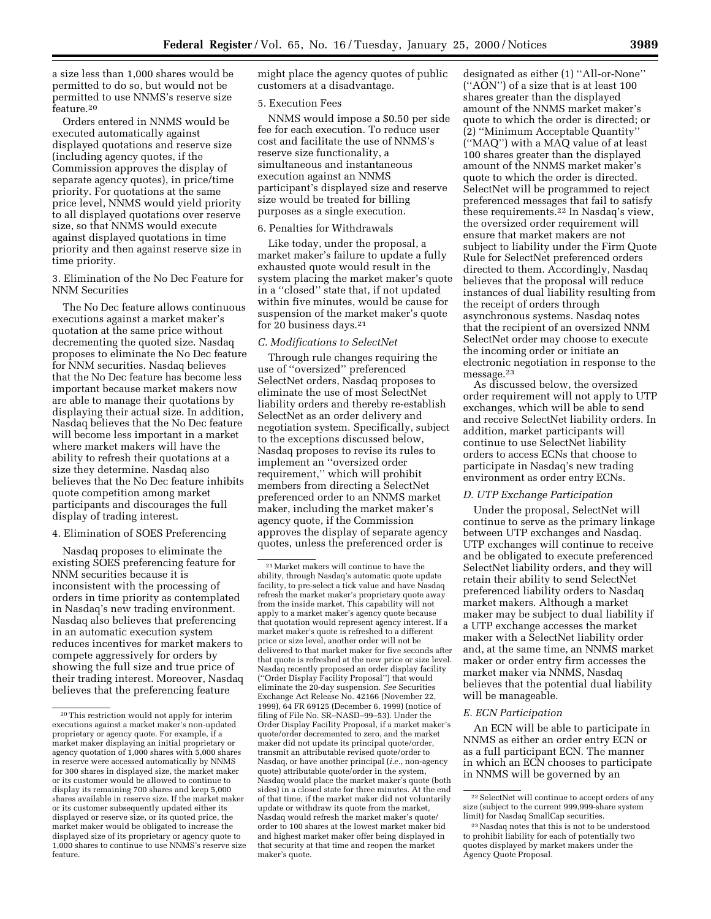a size less than 1,000 shares would be permitted to do so, but would not be permitted to use NNMS's reserve size feature.20

Orders entered in NNMS would be executed automatically against displayed quotations and reserve size (including agency quotes, if the Commission approves the display of separate agency quotes), in price/time priority. For quotations at the same price level, NNMS would yield priority to all displayed quotations over reserve size, so that NNMS would execute against displayed quotations in time priority and then against reserve size in time priority.

3. Elimination of the No Dec Feature for NNM Securities

The No Dec feature allows continuous executions against a market maker's quotation at the same price without decrementing the quoted size. Nasdaq proposes to eliminate the No Dec feature for NNM securities. Nasdaq believes that the No Dec feature has become less important because market makers now are able to manage their quotations by displaying their actual size. In addition, Nasdaq believes that the No Dec feature will become less important in a market where market makers will have the ability to refresh their quotations at a size they determine. Nasdaq also believes that the No Dec feature inhibits quote competition among market participants and discourages the full display of trading interest.

# 4. Elimination of SOES Preferencing

Nasdaq proposes to eliminate the existing SOES preferencing feature for NNM securities because it is inconsistent with the processing of orders in time priority as contemplated in Nasdaq's new trading environment. Nasdaq also believes that preferencing in an automatic execution system reduces incentives for market makers to compete aggressively for orders by showing the full size and true price of their trading interest. Moreover, Nasdaq believes that the preferencing feature

might place the agency quotes of public customers at a disadvantage.

## 5. Execution Fees

NNMS would impose a \$0.50 per side fee for each execution. To reduce user cost and facilitate the use of NNMS's reserve size functionality, a simultaneous and instantaneous execution against an NNMS participant's displayed size and reserve size would be treated for billing purposes as a single execution.

# 6. Penalties for Withdrawals

Like today, under the proposal, a market maker's failure to update a fully exhausted quote would result in the system placing the market maker's quote in a ''closed'' state that, if not updated within five minutes, would be cause for suspension of the market maker's quote for 20 business days.21

#### *C. Modifications to SelectNet*

Through rule changes requiring the use of ''oversized'' preferenced SelectNet orders, Nasdaq proposes to eliminate the use of most SelectNet liability orders and thereby re-establish SelectNet as an order delivery and negotiation system. Specifically, subject to the exceptions discussed below, Nasdaq proposes to revise its rules to implement an ''oversized order requirement,'' which will prohibit members from directing a SelectNet preferenced order to an NNMS market maker, including the market maker's agency quote, if the Commission approves the display of separate agency quotes, unless the preferenced order is

designated as either (1) ''All-or-None'' (''AON'') of a size that is at least 100 shares greater than the displayed amount of the NNMS market maker's quote to which the order is directed; or (2) ''Minimum Acceptable Quantity'' (''MAQ'') with a MAQ value of at least 100 shares greater than the displayed amount of the NNMS market maker's quote to which the order is directed. SelectNet will be programmed to reject preferenced messages that fail to satisfy these requirements.22 In Nasdaq's view, the oversized order requirement will ensure that market makers are not subject to liability under the Firm Quote Rule for SelectNet preferenced orders directed to them. Accordingly, Nasdaq believes that the proposal will reduce instances of dual liability resulting from the receipt of orders through asynchronous systems. Nasdaq notes that the recipient of an oversized NNM SelectNet order may choose to execute the incoming order or initiate an electronic negotiation in response to the message.23

As discussed below, the oversized order requirement will not apply to UTP exchanges, which will be able to send and receive SelectNet liability orders. In addition, market participants will continue to use SelectNet liability orders to access ECNs that choose to participate in Nasdaq's new trading environment as order entry ECNs.

#### *D. UTP Exchange Participation*

Under the proposal, SelectNet will continue to serve as the primary linkage between UTP exchanges and Nasdaq. UTP exchanges will continue to receive and be obligated to execute preferenced SelectNet liability orders, and they will retain their ability to send SelectNet preferenced liability orders to Nasdaq market makers. Although a market maker may be subject to dual liability if a UTP exchange accesses the market maker with a SelectNet liability order and, at the same time, an NNMS market maker or order entry firm accesses the market maker via NNMS, Nasdaq believes that the potential dual liability will be manageable.

#### *E. ECN Participation*

An ECN will be able to participate in NNMS as either an order entry ECN or as a full participant ECN. The manner in which an ECN chooses to participate in NNMS will be governed by an

<sup>20</sup>This restriction would not apply for interim executions against a market maker's non-updated proprietary or agency quote. For example, if a market maker displaying an initial proprietary or agency quotation of 1,000 shares with 5,000 shares in reserve were accessed automatically by NNMS for 300 shares in displayed size, the market maker or its customer would be allowed to continue to display its remaining 700 shares and keep 5,000 shares available in reserve size. If the market maker or its customer subsequently updated either its displayed or reserve size, or its quoted price, the market maker would be obligated to increase the displayed size of its proprietary or agency quote to 1,000 shares to continue to use NNMS's reserve size feature.

<sup>21</sup>Market makers will continue to have the ability, through Nasdaq's automatic quote update facility, to pre-select a tick value and have Nasdaq refresh the market maker's proprietary quote away from the inside market. This capability will not apply to a market maker's agency quote because that quotation would represent agency interest. If a market maker's quote is refreshed to a different price or size level, another order will not be delivered to that market maker for five seconds after that quote is refreshed at the new price or size level. Nasdaq recently proposed an order display facility (''Order Display Facility Proposal'') that would eliminate the 20-day suspension. *See* Securities Exchange Act Release No. 42166 (November 22, 1999), 64 FR 69125 (December 6, 1999) (notice of filing of File No. SR–NASD–99–53). Under the Order Display Facility Proposal, if a market maker's quote/order decremented to zero, and the market maker did not update its principal quote/order, transmit an attributable revised quote/order to Nasdaq, or have another principal (*i.e.,* non-agency quote) attributable quote/order in the system, Nasdaq would place the market maker's quote (both sides) in a closed state for three minutes. At the end of that time, if the market maker did not voluntarily update or withdraw its quote from the market, Nasdaq would refresh the market maker's quote/ order to 100 shares at the lowest market maker bid and highest market maker offer being displayed in that security at that time and reopen the market maker's quote.

<sup>22</sup>SelectNet will continue to accept orders of any size (subject to the current 999,999-share system limit) for Nasdaq SmallCap securities.

<sup>23</sup>Nasdaq notes that this is not to be understood to prohibit liability for each of potentially two quotes displayed by market makers under the Agency Quote Proposal.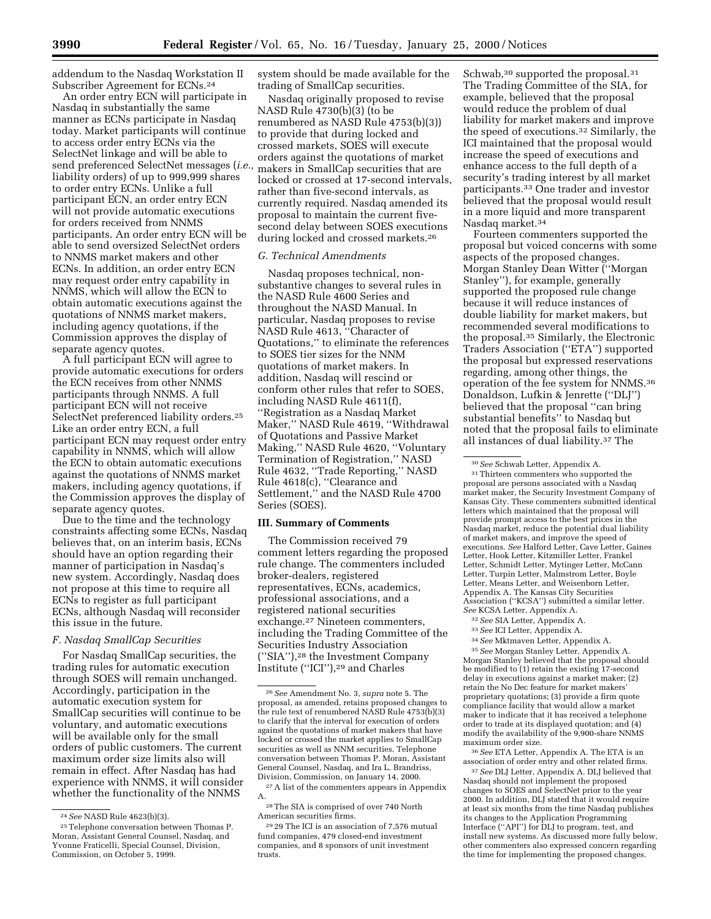addendum to the Nasdaq Workstation II Subscriber Agreement for ECNs.24

An order entry ECN will participate in Nasdaq in substantially the same manner as ECNs participate in Nasdaq today. Market participants will continue to access order entry ECNs via the SelectNet linkage and will be able to send preferenced SelectNet messages (*i.e.,* liability orders) of up to 999,999 shares to order entry ECNs. Unlike a full participant ECN, an order entry ECN will not provide automatic executions for orders received from NNMS participants. An order entry ECN will be able to send oversized SelectNet orders to NNMS market makers and other ECNs. In addition, an order entry ECN may request order entry capability in NNMS, which will allow the ECN to obtain automatic executions against the quotations of NNMS market makers, including agency quotations, if the Commission approves the display of separate agency quotes.

A full participant ECN will agree to provide automatic executions for orders the ECN receives from other NNMS participants through NNMS. A full participant ECN will not receive SelectNet preferenced liability orders.<sup>25</sup> Like an order entry ECN, a full participant ECN may request order entry capability in NNMS, which will allow the ECN to obtain automatic executions against the quotations of NNMS market makers, including agency quotations, if the Commission approves the display of separate agency quotes.

Due to the time and the technology constraints affecting some ECNs, Nasdaq believes that, on an interim basis, ECNs should have an option regarding their manner of participation in Nasdaq's new system. Accordingly, Nasdaq does not propose at this time to require all ECNs to register as full participant ECNs, although Nasdaq will reconsider this issue in the future.

### *F. Nasdaq SmallCap Securities*

For Nasdaq SmallCap securities, the trading rules for automatic execution through SOES will remain unchanged. Accordingly, participation in the automatic execution system for SmallCap securities will continue to be voluntary, and automatic executions will be available only for the small orders of public customers. The current maximum order size limits also will remain in effect. After Nasdaq has had experience with NNMS, it will consider whether the functionality of the NNMS

system should be made available for the trading of SmallCap securities.

Nasdaq originally proposed to revise NASD Rule 4730(b)(3) (to be renumbered as NASD Rule 4753(b)(3)) to provide that during locked and crossed markets, SOES will execute orders against the quotations of market makers in SmallCap securities that are locked or crossed at 17-second intervals, rather than five-second intervals, as currently required. Nasdaq amended its proposal to maintain the current fivesecond delay between SOES executions during locked and crossed markets.26

## *G. Technical Amendments*

Nasdaq proposes technical, nonsubstantive changes to several rules in the NASD Rule 4600 Series and throughout the NASD Manual. In particular, Nasdaq proposes to revise NASD Rule 4613, ''Character of Quotations,'' to eliminate the references to SOES tier sizes for the NNM quotations of market makers. In addition, Nasdaq will rescind or conform other rules that refer to SOES, including NASD Rule 4611(f), ''Registration as a Nasdaq Market Maker,'' NASD Rule 4619, ''Withdrawal of Quotations and Passive Market Making,'' NASD Rule 4620, ''Voluntary Termination of Registration,'' NASD Rule 4632, ''Trade Reporting,'' NASD Rule 4618(c), ''Clearance and Settlement,'' and the NASD Rule 4700 Series (SOES).

### **III. Summary of Comments**

The Commission received 79 comment letters regarding the proposed rule change. The commenters included broker-dealers, registered representatives, ECNs, academics, professional associations, and a registered national securities exchange.27 Nineteen commenters, including the Trading Committee of the Securities Industry Association (''SIA''),28 the Investment Company Institute (''ICI''),29 and Charles

Schwab,<sup>30</sup> supported the proposal.<sup>31</sup> The Trading Committee of the SIA, for example, believed that the proposal would reduce the problem of dual liability for market makers and improve the speed of executions.32 Similarly, the ICI maintained that the proposal would increase the speed of executions and enhance access to the full depth of a security's trading interest by all market participants.33 One trader and investor believed that the proposal would result in a more liquid and more transparent Nasdaq market.34

Fourteen commenters supported the proposal but voiced concerns with some aspects of the proposed changes. Morgan Stanley Dean Witter (''Morgan Stanley''), for example, generally supported the proposed rule change because it will reduce instances of double liability for market makers, but recommended several modifications to the proposal.35 Similarly, the Electronic Traders Association (''ETA'') supported the proposal but expressed reservations regarding, among other things, the operation of the fee system for NNMS.36 Donaldson, Lufkin & Jenrette (''DLJ'') believed that the proposal ''can bring substantial benefits'' to Nasdaq but noted that the proposal fails to eliminate all instances of dual liability.37 The

31Thirteen commenters who supported the proposal are persons associated with a Nasdaq market maker, the Security Investment Company of Kansas City. These commenters submitted identical letters which maintained that the proposal will provide prompt access to the best prices in the Nasdaq market, reduce the potential dual liability of market makers, and improve the speed of executions. *See* Halford Letter, Cave Letter, Gaines Letter, Hook Letter, Kitzmiller Letter, Frankel Letter, Schmidt Letter, Mytinger Letter, McCann Letter, Turpin Letter, Malmstrom Letter, Boyle Letter, Means Letter, and Weisenborn Letter, Appendix A. The Kansas City Securities Association (''KCSA'') submitted a similar letter. *See* KCSA Letter, Appendix A.

33*See* ICI Letter, Appendix A.

35*See* Morgan Stanley Letter, Appendix A. Morgan Stanley believed that the proposal should be modified to (1) retain the existing 17-second delay in executions against a market maker; (2) retain the No Dec feature for market makers' proprietary quotations; (3) provide a firm quote compliance facility that would allow a market maker to indicate that it has received a telephone order to trade at its displayed quotation; and (4) modify the availability of the 9,900-share NNMS maximum order size.

36*See* ETA Letter, Appendix A. The ETA is an association of order entry and other related firms.

37*See* DLJ Letter, Appendix A. DLJ believed that Nasdaq should not implement the proposed changes to SOES and SelectNet prior to the year 2000. In addition, DLJ stated that it would require at least six months from the time Nasdaq publishes its changes to the Application Programming Interface (''API'') for DLJ to program, test, and install new systems. As discussed more fully below, other commenters also expressed concern regarding the time for implementing the proposed changes.

<sup>24</sup>*See* NASD Rule 4623(b)(3).

<sup>25</sup>Telephone conversation between Thomas P. Moran, Assistant General Counsel, Nasdaq, and Yvonne Fraticelli, Special Counsel, Division, Commission, on October 5, 1999.

<sup>26</sup>*See* Amendment No. 3, *supra* note 5. The proposal, as amended, retains proposed changes to the rule text of renumbered NASD Rule 4753(b)(3) to clarify that the interval for execution of orders against the quotations of market makers that have locked or crossed the market applies to SmallCap securities as well as NNM securities. Telephone conversation between Thomas P. Moran, Assistant General Counsel, Nasdaq, and Ira L. Brandriss, Division, Commission, on January 14, 2000.

<sup>27</sup>A list of the commenters appears in Appendix A.

<sup>28</sup>The SIA is comprised of over 740 North American securities firms.

<sup>29</sup> 29 The ICI is an association of 7,576 mutual fund companies, 479 closed-end investment companies, and 8 sponsors of unit investment trusts.

<sup>30</sup>*See* Schwab Letter, Appendix A.

<sup>32</sup>*See* SIA Letter, Appendix A.

<sup>34</sup>*See* Mktmaven Letter, Appendix A.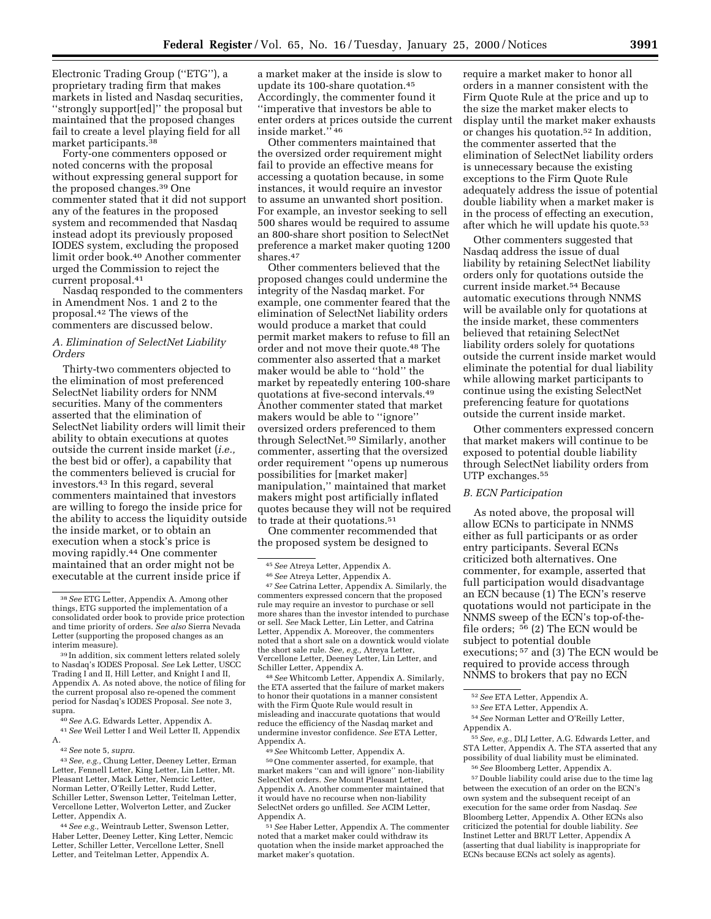Electronic Trading Group (''ETG''), a proprietary trading firm that makes markets in listed and Nasdaq securities, ''strongly support[ed]'' the proposal but maintained that the proposed changes fail to create a level playing field for all market participants.38

Forty-one commenters opposed or noted concerns with the proposal without expressing general support for the proposed changes.39 One commenter stated that it did not support any of the features in the proposed system and recommended that Nasdaq instead adopt its previously proposed IODES system, excluding the proposed limit order book.40 Another commenter urged the Commission to reject the current proposal.41

Nasdaq responded to the commenters in Amendment Nos. 1 and 2 to the proposal.42 The views of the commenters are discussed below.

### *A. Elimination of SelectNet Liability Orders*

Thirty-two commenters objected to the elimination of most preferenced SelectNet liability orders for NNM securities. Many of the commenters asserted that the elimination of SelectNet liability orders will limit their ability to obtain executions at quotes outside the current inside market (*i.e.,* the best bid or offer), a capability that the commenters believed is crucial for investors.43 In this regard, several commenters maintained that investors are willing to forego the inside price for the ability to access the liquidity outside the inside market, or to obtain an execution when a stock's price is moving rapidly.44 One commenter maintained that an order might not be executable at the current inside price if

40*See* A.G. Edwards Letter, Appendix A.

41*See* Weil Letter I and Weil Letter II, Appendix A.

42*See* note 5, *supra*.

43*See, e.g.,* Chung Letter, Deeney Letter, Erman Letter, Fennell Letter, King Letter, Lin Letter, Mt. Pleasant Letter, Mack Letter, Nemcic Letter, Norman Letter, O'Reilly Letter, Rudd Letter, Schiller Letter, Swenson Letter, Teitelman Letter, Vercellone Letter, Wolverton Letter, and Zucker Letter, Appendix A.

44*See e.g.,* Weintraub Letter, Swenson Letter, Haber Letter, Deeney Letter, King Letter, Nemcic Letter, Schiller Letter, Vercellone Letter, Snell Letter, and Teitelman Letter, Appendix A.

a market maker at the inside is slow to update its 100-share quotation.45 Accordingly, the commenter found it ''imperative that investors be able to enter orders at prices outside the current inside market.'' 46

Other commenters maintained that the oversized order requirement might fail to provide an effective means for accessing a quotation because, in some instances, it would require an investor to assume an unwanted short position. For example, an investor seeking to sell 500 shares would be required to assume an 800-share short position to SelectNet preference a market maker quoting 1200 shares.47

Other commenters believed that the proposed changes could undermine the integrity of the Nasdaq market. For example, one commenter feared that the elimination of SelectNet liability orders would produce a market that could permit market makers to refuse to fill an order and not move their quote.48 The commenter also asserted that a market maker would be able to ''hold'' the market by repeatedly entering 100-share quotations at five-second intervals.49 Another commenter stated that market makers would be able to ''ignore'' oversized orders preferenced to them through SelectNet.50 Similarly, another commenter, asserting that the oversized order requirement ''opens up numerous possibilities for [market maker] manipulation,'' maintained that market makers might post artificially inflated quotes because they will not be required to trade at their quotations.<sup>51</sup>

One commenter recommended that the proposed system be designed to

47*See* Catrina Letter, Appendix A. Similarly, the commenters expressed concern that the proposed rule may require an investor to purchase or sell more shares than the investor intended to purchase or sell. *See* Mack Letter, Lin Letter, and Catrina Letter, Appendix A. Moreover, the commenters noted that a short sale on a downtick would violate the short sale rule. *See, e.g.,* Atreya Letter, Vercellone Letter, Deeney Letter, Lin Letter, and Schiller Letter, Appendix A.

48*See* Whitcomb Letter, Appendix A. Similarly, the ETA asserted that the failure of market makers to honor their quotations in a manner consistent with the Firm Quote Rule would result in misleading and inaccurate quotations that would reduce the efficiency of the Nasdaq market and undermine investor confidence. *See* ETA Letter, Appendix A.

49*See* Whitcomb Letter, Appendix A. 50One commenter asserted, for example, that market makers ''can and will ignore'' non-liability SelectNet orders. *See* Mount Pleasant Letter, Appendix A. Another commenter maintained that it would have no recourse when non-liability SelectNet orders go unfilled. *See* ACIM Letter,

Appendix A. 51*See* Haber Letter, Appendix A. The commenter noted that a market maker could withdraw its quotation when the inside market approached the market maker's quotation.

require a market maker to honor all orders in a manner consistent with the Firm Quote Rule at the price and up to the size the market maker elects to display until the market maker exhausts or changes his quotation.52 In addition, the commenter asserted that the elimination of SelectNet liability orders is unnecessary because the existing exceptions to the Firm Quote Rule adequately address the issue of potential double liability when a market maker is in the process of effecting an execution, after which he will update his quote.53

Other commenters suggested that Nasdaq address the issue of dual liability by retaining SelectNet liability orders only for quotations outside the current inside market.54 Because automatic executions through NNMS will be available only for quotations at the inside market, these commenters believed that retaining SelectNet liability orders solely for quotations outside the current inside market would eliminate the potential for dual liability while allowing market participants to continue using the existing SelectNet preferencing feature for quotations outside the current inside market.

Other commenters expressed concern that market makers will continue to be exposed to potential double liability through SelectNet liability orders from UTP exchanges.<sup>55</sup>

#### *B. ECN Participation*

As noted above, the proposal will allow ECNs to participate in NNMS either as full participants or as order entry participants. Several ECNs criticized both alternatives. One commenter, for example, asserted that full participation would disadvantage an ECN because (1) The ECN's reserve quotations would not participate in the NNMS sweep of the ECN's top-of-thefile orders; 56 (2) The ECN would be subject to potential double executions; 57 and (3) The ECN would be required to provide access through NNMS to brokers that pay no ECN

55*See, e.g.,* DLJ Letter, A.G. Edwards Letter, and STA Letter, Appendix A. The STA asserted that any possibility of dual liability must be eliminated. 56*See* Bloomberg Letter, Appendix A.

57 Double liability could arise due to the time lag between the execution of an order on the ECN's own system and the subsequent receipt of an execution for the same order from Nasdaq. *See* Bloomberg Letter, Appendix A. Other ECNs also criticized the potential for double liability. *See* Instinet Letter and BRUT Letter, Appendix A (asserting that dual liability is inappropriate for ECNs because ECNs act solely as agents).

<sup>38</sup>*See* ETG Letter, Appendix A. Among other things, ETG supported the implementation of a consolidated order book to provide price protection and time priority of orders. *See also* Sierra Nevada Letter (supporting the proposed changes as an interim measure).

<sup>39</sup> In addition, six comment letters related solely to Nasdaq's IODES Proposal. *See* Lek Letter, USCC Trading I and II, Hill Letter, and Knight I and II, Appendix A. As noted above, the notice of filing for the current proposal also re-opened the comment period for Nasdaq's IODES Proposal. *See* note 3, supra.

<sup>45</sup>*See* Atreya Letter, Appendix A.

<sup>46</sup>*See* Atreya Letter, Appendix A.

<sup>52</sup>*See* ETA Letter, Appendix A.

<sup>53</sup>*See* ETA Letter, Appendix A.

<sup>54</sup>*See* Norman Letter and O'Reilly Letter, Appendix A.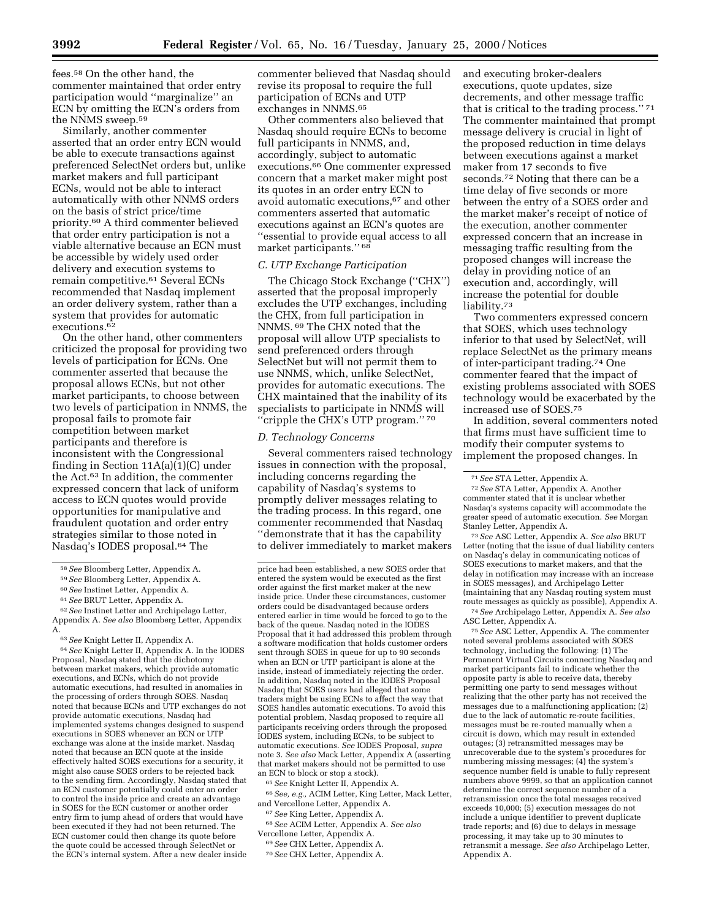fees.58 On the other hand, the commenter maintained that order entry participation would ''marginalize'' an ECN by omitting the ECN's orders from the NNMS sweep.59

Similarly, another commenter asserted that an order entry ECN would be able to execute transactions against preferenced SelectNet orders but, unlike market makers and full participant ECNs, would not be able to interact automatically with other NNMS orders on the basis of strict price/time priority.60 A third commenter believed that order entry participation is not a viable alternative because an ECN must be accessible by widely used order delivery and execution systems to remain competitive.61 Several ECNs recommended that Nasdaq implement an order delivery system, rather than a system that provides for automatic executions.62

On the other hand, other commenters criticized the proposal for providing two levels of participation for ECNs. One commenter asserted that because the proposal allows ECNs, but not other market participants, to choose between two levels of participation in NNMS, the proposal fails to promote fair competition between market participants and therefore is inconsistent with the Congressional finding in Section  $11A(a)(1)$ (C) under the Act.63 In addition, the commenter expressed concern that lack of uniform access to ECN quotes would provide opportunities for manipulative and fraudulent quotation and order entry strategies similar to those noted in Nasdaq's IODES proposal.64 The

64*See* Knight Letter II, Appendix A. In the IODES Proposal, Nasdaq stated that the dichotomy between market makers, which provide automatic executions, and ECNs, which do not provide automatic executions, had resulted in anomalies in the processing of orders through SOES. Nasdaq noted that because ECNs and UTP exchanges do not provide automatic executions, Nasdaq had implemented systems changes designed to suspend executions in SOES whenever an ECN or UTP exchange was alone at the inside market. Nasdaq noted that because an ECN quote at the inside effectively halted SOES executions for a security, it might also cause SOES orders to be rejected back to the sending firm. Accordingly, Nasdaq stated that an ECN customer potentially could enter an order to control the inside price and create an advantage in SOES for the ECN customer or another order entry firm to jump ahead of orders that would have been executed if they had not been returned. The ECN customer could then change its quote before the quote could be accessed through SelectNet or the ECN's internal system. After a new dealer inside commenter believed that Nasdaq should revise its proposal to require the full participation of ECNs and UTP exchanges in NNMS.65

Other commenters also believed that Nasdaq should require ECNs to become full participants in NNMS, and, accordingly, subject to automatic executions.66 One commenter expressed concern that a market maker might post its quotes in an order entry ECN to avoid automatic executions,<sup>67</sup> and other commenters asserted that automatic executions against an ECN's quotes are ''essential to provide equal access to all market participants.'' 68

#### *C. UTP Exchange Participation*

The Chicago Stock Exchange (''CHX'') asserted that the proposal improperly excludes the UTP exchanges, including the CHX, from full participation in NNMS. 69 The CHX noted that the proposal will allow UTP specialists to send preferenced orders through SelectNet but will not permit them to use NNMS, which, unlike SelectNet, provides for automatic executions. The CHX maintained that the inability of its specialists to participate in NNMS will ''cripple the CHX's UTP program.'' 70

#### *D. Technology Concerns*

Several commenters raised technology issues in connection with the proposal, including concerns regarding the capability of Nasdaq's systems to promptly deliver messages relating to the trading process. In this regard, one commenter recommended that Nasdaq ''demonstrate that it has the capability to deliver immediately to market makers

65*See* Knight Letter II, Appendix A.

66*See, e.g.,* ACIM Letter, King Letter, Mack Letter, and Vercellone Letter, Appendix A.

67*See* King Letter, Appendix A.

68*See* ACIM Letter, Appendix A. *See also* Vercellone Letter, Appendix A.

- 69*See* CHX Letter, Appendix A.
- 70*See* CHX Letter, Appendix A.

and executing broker-dealers executions, quote updates, size decrements, and other message traffic that is critical to the trading process.'' 71 The commenter maintained that prompt message delivery is crucial in light of the proposed reduction in time delays between executions against a market maker from 17 seconds to five seconds.72 Noting that there can be a time delay of five seconds or more between the entry of a SOES order and the market maker's receipt of notice of the execution, another commenter expressed concern that an increase in messaging traffic resulting from the proposed changes will increase the delay in providing notice of an execution and, accordingly, will increase the potential for double liability.73

Two commenters expressed concern that SOES, which uses technology inferior to that used by SelectNet, will replace SelectNet as the primary means of inter-participant trading.74 One commenter feared that the impact of existing problems associated with SOES technology would be exacerbated by the increased use of SOES.75

In addition, several commenters noted that firms must have sufficient time to modify their computer systems to implement the proposed changes. In

73*See* ASC Letter, Appendix A. *See also* BRUT Letter (noting that the issue of dual liability centers on Nasdaq's delay in communicating notices of SOES executions to market makers, and that the delay in notification may increase with an increase in SOES messages), and Archipelago Letter (maintaining that any Nasdaq routing system must route messages as quickly as possible), Appendix A.

74*See* Archipelago Letter, Appendix A. *See also* ASC Letter, Appendix A.

75*See* ASC Letter, Appendix A. The commenter noted several problems associated with SOES technology, including the following: (1) The Permanent Virtual Circuits connecting Nasdaq and market participants fail to indicate whether the opposite party is able to receive data, thereby permitting one party to send messages without realizing that the other party has not received the messages due to a malfunctioning application; (2) due to the lack of automatic re-route facilities, messages must be re-routed manually when a circuit is down, which may result in extended outages; (3) retransmitted messages may be unrecoverable due to the system's procedures for numbering missing messages; (4) the system's sequence number field is unable to fully represent numbers above 9999, so that an application cannot determine the correct sequence number of a retransmission once the total messages received exceeds 10,000; (5) execution messages do not include a unique identifier to prevent duplicate trade reports; and (6) due to delays in message processing, it may take up to 30 minutes to retransmit a message. *See also* Archipelago Letter, Appendix A.

<sup>58</sup>*See* Bloomberg Letter, Appendix A.

<sup>59</sup>*See* Bloomberg Letter, Appendix A.

<sup>60</sup>*See* Instinet Letter, Appendix A.

<sup>61</sup>*See* BRUT Letter, Appendix A.

<sup>62</sup>*See* Instinet Letter and Archipelago Letter, Appendix A. *See also* Bloomberg Letter, Appendix A.

<sup>63</sup>*See* Knight Letter II, Appendix A.

price had been established, a new SOES order that entered the system would be executed as the first order against the first market maker at the new inside price. Under these circumstances, customer orders could be disadvantaged because orders entered earlier in time would be forced to go to the back of the queue. Nasdaq noted in the IODES Proposal that it had addressed this problem through a software modification that holds customer orders sent through SOES in queue for up to 90 seconds when an ECN or UTP participant is alone at the inside, instead of immediately rejecting the order. In addition, Nasdaq noted in the IODES Proposal Nasdaq that SOES users had alleged that some traders might be using ECNs to affect the way that SOES handles automatic executions. To avoid this potential problem, Nasdaq proposed to require all participants receiving orders through the proposed IODES system, including ECNs, to be subject to automatic executions. *See* IODES Proposal, *supra* note 3. *See also* Mack Letter, Appendix A (asserting that market makers should not be permitted to use an ECN to block or stop a stock).

<sup>71</sup>*See* STA Letter, Appendix A.

<sup>72</sup>*See* STA Letter, Appendix A. Another commenter stated that it is unclear whether Nasdaq's systems capacity will accommodate the greater speed of automatic execution. *See* Morgan Stanley Letter, Appendix A.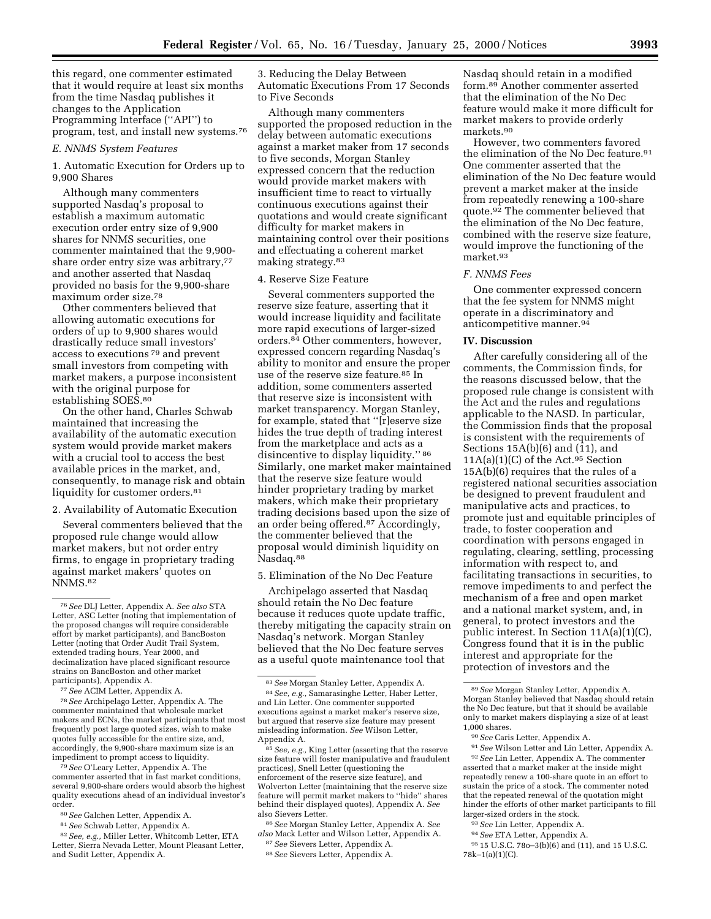this regard, one commenter estimated that it would require at least six months from the time Nasdaq publishes it changes to the Application Programming Interface (''API'') to program, test, and install new systems.76

#### *E. NNMS System Features*

1. Automatic Execution for Orders up to 9,900 Shares

Although many commenters supported Nasdaq's proposal to establish a maximum automatic execution order entry size of 9,900 shares for NNMS securities, one commenter maintained that the 9,900 share order entry size was arbitrary,<sup>77</sup> and another asserted that Nasdaq provided no basis for the 9,900-share maximum order size.78

Other commenters believed that allowing automatic executions for orders of up to 9,900 shares would drastically reduce small investors' access to executions 79 and prevent small investors from competing with market makers, a purpose inconsistent with the original purpose for establishing SOES.80

On the other hand, Charles Schwab maintained that increasing the availability of the automatic execution system would provide market makers with a crucial tool to access the best available prices in the market, and, consequently, to manage risk and obtain liquidity for customer orders.<sup>81</sup>

2. Availability of Automatic Execution

Several commenters believed that the proposed rule change would allow market makers, but not order entry firms, to engage in proprietary trading against market makers' quotes on NNMS.82

77*See* ACIM Letter, Appendix A.

78*See* Archipelago Letter, Appendix A. The commenter maintained that wholesale market makers and ECNs, the market participants that most frequently post large quoted sizes, wish to make quotes fully accessible for the entire size, and, accordingly, the 9,900-share maximum size is an impediment to prompt access to liquidity.

79*See* O'Leary Letter, Appendix A. The commenter asserted that in fast market conditions, several 9,900-share orders would absorb the highest quality executions ahead of an individual investor's order.

- 80*See* Galchen Letter, Appendix A.
- 81*See* Schwab Letter, Appendix A.
- 82*See, e.g.,* Miller Letter, Whitcomb Letter, ETA Letter, Sierra Nevada Letter, Mount Pleasant Letter, and Sudit Letter, Appendix A.

3. Reducing the Delay Between Automatic Executions From 17 Seconds to Five Seconds

Although many commenters supported the proposed reduction in the delay between automatic executions against a market maker from 17 seconds to five seconds, Morgan Stanley expressed concern that the reduction would provide market makers with insufficient time to react to virtually continuous executions against their quotations and would create significant difficulty for market makers in maintaining control over their positions and effectuating a coherent market making strategy.83

# 4. Reserve Size Feature

Several commenters supported the reserve size feature, asserting that it would increase liquidity and facilitate more rapid executions of larger-sized orders.84 Other commenters, however, expressed concern regarding Nasdaq's ability to monitor and ensure the proper use of the reserve size feature.85 In addition, some commenters asserted that reserve size is inconsistent with market transparency. Morgan Stanley, for example, stated that ''[r]eserve size hides the true depth of trading interest from the marketplace and acts as a disincentive to display liquidity.'' 86 Similarly, one market maker maintained that the reserve size feature would hinder proprietary trading by market makers, which make their proprietary trading decisions based upon the size of an order being offered.87 Accordingly, the commenter believed that the proposal would diminish liquidity on Nasdaq.88

5. Elimination of the No Dec Feature

Archipelago asserted that Nasdaq should retain the No Dec feature because it reduces quote update traffic, thereby mitigating the capacity strain on Nasdaq's network. Morgan Stanley believed that the No Dec feature serves as a useful quote maintenance tool that

85*See, e.g.,* King Letter (asserting that the reserve size feature will foster manipulative and fraudulent practices), Snell Letter (questioning the enforcement of the reserve size feature), and Wolverton Letter (maintaining that the reserve size feature will permit market makers to ''hide'' shares behind their displayed quotes), Appendix A. *See* also Sievers Letter.

86*See* Morgan Stanley Letter, Appendix A. *See also* Mack Letter and Wilson Letter, Appendix A.

Nasdaq should retain in a modified form.89 Another commenter asserted that the elimination of the No Dec feature would make it more difficult for market makers to provide orderly markets.90

However, two commenters favored the elimination of the No Dec feature.<sup>91</sup> One commenter asserted that the elimination of the No Dec feature would prevent a market maker at the inside from repeatedly renewing a 100-share quote.92 The commenter believed that the elimination of the No Dec feature, combined with the reserve size feature, would improve the functioning of the market.93

#### *F. NNMS Fees*

One commenter expressed concern that the fee system for NNMS might operate in a discriminatory and anticompetitive manner.94

### **IV. Discussion**

After carefully considering all of the comments, the Commission finds, for the reasons discussed below, that the proposed rule change is consistent with the Act and the rules and regulations applicable to the NASD. In particular, the Commission finds that the proposal is consistent with the requirements of Sections 15A(b)(6) and (11), and 11A(a)(1)(C) of the Act.95 Section 15A(b)(6) requires that the rules of a registered national securities association be designed to prevent fraudulent and manipulative acts and practices, to promote just and equitable principles of trade, to foster cooperation and coordination with persons engaged in regulating, clearing, settling, processing information with respect to, and facilitating transactions in securities, to remove impediments to and perfect the mechanism of a free and open market and a national market system, and, in general, to protect investors and the public interest. In Section 11A(a)(1)(C), Congress found that it is in the public interest and appropriate for the protection of investors and the

91*See* Wilson Letter and Lin Letter, Appendix A. 92*See* Lin Letter, Appendix A. The commenter asserted that a market maker at the inside might repeatedly renew a 100-share quote in an effort to sustain the price of a stock. The commenter noted that the repeated renewal of the quotation might hinder the efforts of other market participants to fill larger-sized orders in the stock.

- 93*See* Lin Letter, Appendix A.
- 94*See* ETA Letter, Appendix A.
- 95 15 U.S.C. 78o–3(b)(6) and (11), and 15 U.S.C. 78k–1(a)(1)(C).

<sup>76</sup>*See* DLJ Letter, Appendix A. *See also* STA Letter, ASC Letter (noting that implementation of the proposed changes will require considerable effort by market participants), and BancBoston Letter (noting that Order Audit Trail System, extended trading hours, Year 2000, and decimalization have placed significant resource strains on BancBoston and other market participants), Appendix A.

<sup>83</sup>*See* Morgan Stanley Letter, Appendix A. 84*See, e.g.,* Samarasinghe Letter, Haber Letter, and Lin Letter. One commenter supported executions against a market maker's reserve size, but argued that reserve size feature may present misleading information. *See* Wilson Letter, Appendix A.

<sup>87</sup>*See* Sievers Letter, Appendix A. 88*See* Sievers Letter, Appendix A.

<sup>89</sup>*See* Morgan Stanley Letter, Appendix A. Morgan Stanley believed that Nasdaq should retain the No Dec feature, but that it should be available only to market makers displaying a size of at least 1,000 shares.

<sup>90</sup>*See* Caris Letter, Appendix A.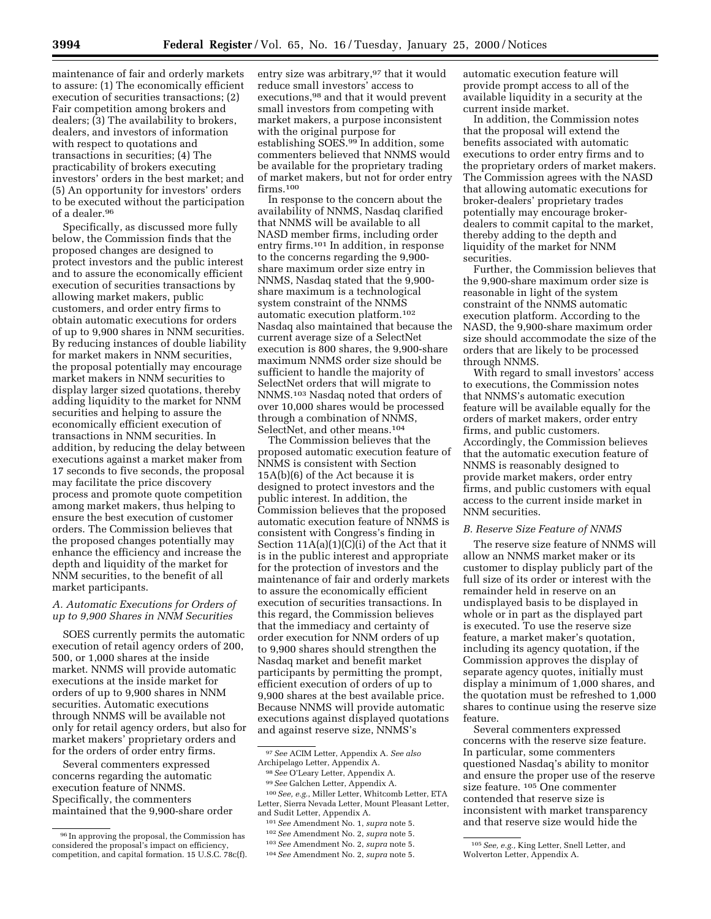maintenance of fair and orderly markets to assure: (1) The economically efficient execution of securities transactions; (2) Fair competition among brokers and dealers; (3) The availability to brokers, dealers, and investors of information with respect to quotations and transactions in securities; (4) The practicability of brokers executing investors' orders in the best market; and (5) An opportunity for investors' orders to be executed without the participation of a dealer.96

Specifically, as discussed more fully below, the Commission finds that the proposed changes are designed to protect investors and the public interest and to assure the economically efficient execution of securities transactions by allowing market makers, public customers, and order entry firms to obtain automatic executions for orders of up to 9,900 shares in NNM securities. By reducing instances of double liability for market makers in NNM securities, the proposal potentially may encourage market makers in NNM securities to display larger sized quotations, thereby adding liquidity to the market for NNM securities and helping to assure the economically efficient execution of transactions in NNM securities. In addition, by reducing the delay between executions against a market maker from 17 seconds to five seconds, the proposal may facilitate the price discovery process and promote quote competition among market makers, thus helping to ensure the best execution of customer orders. The Commission believes that the proposed changes potentially may enhance the efficiency and increase the depth and liquidity of the market for NNM securities, to the benefit of all market participants.

## *A. Automatic Executions for Orders of up to 9,900 Shares in NNM Securities*

SOES currently permits the automatic execution of retail agency orders of 200, 500, or 1,000 shares at the inside market. NNMS will provide automatic executions at the inside market for orders of up to 9,900 shares in NNM securities. Automatic executions through NNMS will be available not only for retail agency orders, but also for market makers' proprietary orders and for the orders of order entry firms.

Several commenters expressed concerns regarding the automatic execution feature of NNMS. Specifically, the commenters maintained that the 9,900-share order

entry size was arbitrary, <sup>97</sup> that it would reduce small investors' access to executions,98 and that it would prevent small investors from competing with market makers, a purpose inconsistent with the original purpose for establishing SOES.99 In addition, some commenters believed that NNMS would be available for the proprietary trading of market makers, but not for order entry firms 100

In response to the concern about the availability of NNMS, Nasdaq clarified that NNMS will be available to all NASD member firms, including order entry firms.101 In addition, in response to the concerns regarding the 9,900 share maximum order size entry in NNMS, Nasdaq stated that the 9,900 share maximum is a technological system constraint of the NNMS automatic execution platform.102 Nasdaq also maintained that because the current average size of a SelectNet execution is 800 shares, the 9,900-share maximum NNMS order size should be sufficient to handle the majority of SelectNet orders that will migrate to NNMS.103 Nasdaq noted that orders of over 10,000 shares would be processed through a combination of NNMS, SelectNet, and other means.<sup>104</sup>

The Commission believes that the proposed automatic execution feature of NNMS is consistent with Section 15A(b)(6) of the Act because it is designed to protect investors and the public interest. In addition, the Commission believes that the proposed automatic execution feature of NNMS is consistent with Congress's finding in Section 11A(a)(1)(C)(i) of the Act that it is in the public interest and appropriate for the protection of investors and the maintenance of fair and orderly markets to assure the economically efficient execution of securities transactions. In this regard, the Commission believes that the immediacy and certainty of order execution for NNM orders of up to 9,900 shares should strengthen the Nasdaq market and benefit market participants by permitting the prompt, efficient execution of orders of up to 9,900 shares at the best available price. Because NNMS will provide automatic executions against displayed quotations and against reserve size, NNMS's

automatic execution feature will provide prompt access to all of the available liquidity in a security at the current inside market.

In addition, the Commission notes that the proposal will extend the benefits associated with automatic executions to order entry firms and to the proprietary orders of market makers. The Commission agrees with the NASD that allowing automatic executions for broker-dealers' proprietary trades potentially may encourage brokerdealers to commit capital to the market, thereby adding to the depth and liquidity of the market for NNM securities.

Further, the Commission believes that the 9,900-share maximum order size is reasonable in light of the system constraint of the NNMS automatic execution platform. According to the NASD, the 9,900-share maximum order size should accommodate the size of the orders that are likely to be processed through NNMS.

With regard to small investors' access to executions, the Commission notes that NNMS's automatic execution feature will be available equally for the orders of market makers, order entry firms, and public customers. Accordingly, the Commission believes that the automatic execution feature of NNMS is reasonably designed to provide market makers, order entry firms, and public customers with equal access to the current inside market in NNM securities.

#### *B. Reserve Size Feature of NNMS*

The reserve size feature of NNMS will allow an NNMS market maker or its customer to display publicly part of the full size of its order or interest with the remainder held in reserve on an undisplayed basis to be displayed in whole or in part as the displayed part is executed. To use the reserve size feature, a market maker's quotation, including its agency quotation, if the Commission approves the display of separate agency quotes, initially must display a minimum of 1,000 shares, and the quotation must be refreshed to 1,000 shares to continue using the reserve size feature.

Several commenters expressed concerns with the reserve size feature. In particular, some commenters questioned Nasdaq's ability to monitor and ensure the proper use of the reserve size feature. 105 One commenter contended that reserve size is inconsistent with market transparency and that reserve size would hide the

<sup>96</sup> In approving the proposal, the Commission has considered the proposal's impact on efficiency, competition, and capital formation. 15 U.S.C. 78c(f).

<sup>97</sup>*See* ACIM Letter, Appendix A. *See also* Archipelago Letter, Appendix A.

<sup>98</sup>*See* O'Leary Letter, Appendix A.

<sup>99</sup>*See* Galchen Letter, Appendix A.

<sup>100</sup>*See, e.g.*, Miller Letter, Whitcomb Letter, ETA Letter, Sierra Nevada Letter, Mount Pleasant Letter, and Sudit Letter, Appendix A.

<sup>101</sup>*See* Amendment No. 1, *supra* note 5.

<sup>102</sup>*See* Amendment No. 2, *supra* note 5. 103*See* Amendment No. 2, *supra* note 5.

<sup>104</sup>*See* Amendment No. 2, *supra* note 5.

<sup>105</sup>*See, e.g.,* King Letter, Snell Letter, and Wolverton Letter, Appendix A.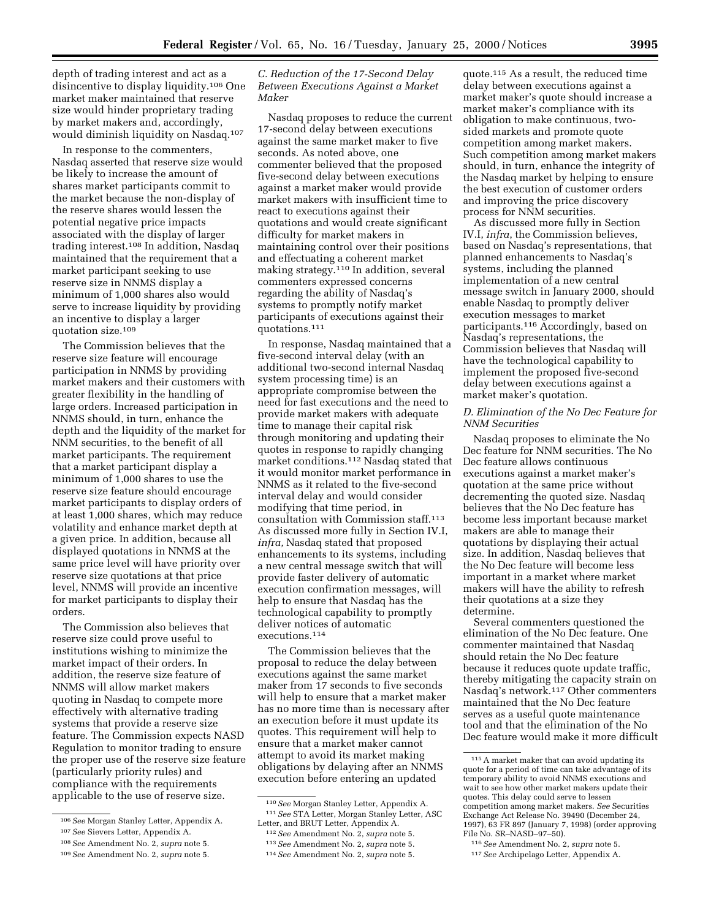depth of trading interest and act as a disincentive to display liquidity.106 One market maker maintained that reserve size would hinder proprietary trading by market makers and, accordingly, would diminish liquidity on Nasdaq.107

In response to the commenters, Nasdaq asserted that reserve size would be likely to increase the amount of shares market participants commit to the market because the non-display of the reserve shares would lessen the potential negative price impacts associated with the display of larger trading interest.108 In addition, Nasdaq maintained that the requirement that a market participant seeking to use reserve size in NNMS display a minimum of 1,000 shares also would serve to increase liquidity by providing an incentive to display a larger quotation size.109

The Commission believes that the reserve size feature will encourage participation in NNMS by providing market makers and their customers with greater flexibility in the handling of large orders. Increased participation in NNMS should, in turn, enhance the depth and the liquidity of the market for NNM securities, to the benefit of all market participants. The requirement that a market participant display a minimum of 1,000 shares to use the reserve size feature should encourage market participants to display orders of at least 1,000 shares, which may reduce volatility and enhance market depth at a given price. In addition, because all displayed quotations in NNMS at the same price level will have priority over reserve size quotations at that price level, NNMS will provide an incentive for market participants to display their orders.

The Commission also believes that reserve size could prove useful to institutions wishing to minimize the market impact of their orders. In addition, the reserve size feature of NNMS will allow market makers quoting in Nasdaq to compete more effectively with alternative trading systems that provide a reserve size feature. The Commission expects NASD Regulation to monitor trading to ensure the proper use of the reserve size feature (particularly priority rules) and compliance with the requirements applicable to the use of reserve size.

# *C. Reduction of the 17-Second Delay Between Executions Against a Market Maker*

Nasdaq proposes to reduce the current 17-second delay between executions against the same market maker to five seconds. As noted above, one commenter believed that the proposed five-second delay between executions against a market maker would provide market makers with insufficient time to react to executions against their quotations and would create significant difficulty for market makers in maintaining control over their positions and effectuating a coherent market making strategy.110 In addition, several commenters expressed concerns regarding the ability of Nasdaq's systems to promptly notify market participants of executions against their quotations.111

In response, Nasdaq maintained that a five-second interval delay (with an additional two-second internal Nasdaq system processing time) is an appropriate compromise between the need for fast executions and the need to provide market makers with adequate time to manage their capital risk through monitoring and updating their quotes in response to rapidly changing market conditions.112 Nasdaq stated that it would monitor market performance in NNMS as it related to the five-second interval delay and would consider modifying that time period, in consultation with Commission staff.113 As discussed more fully in Section IV.I, *infra,* Nasdaq stated that proposed enhancements to its systems, including a new central message switch that will provide faster delivery of automatic execution confirmation messages, will help to ensure that Nasdaq has the technological capability to promptly deliver notices of automatic executions.114

The Commission believes that the proposal to reduce the delay between executions against the same market maker from 17 seconds to five seconds will help to ensure that a market maker has no more time than is necessary after an execution before it must update its quotes. This requirement will help to ensure that a market maker cannot attempt to avoid its market making obligations by delaying after an NNMS execution before entering an updated

110*See* Morgan Stanley Letter, Appendix A. 111*See* STA Letter, Morgan Stanley Letter, ASC Letter, and BRUT Letter, Appendix A.

114*See* Amendment No. 2, *supra* note 5.

quote.115 As a result, the reduced time delay between executions against a market maker's quote should increase a market maker's compliance with its obligation to make continuous, twosided markets and promote quote competition among market makers. Such competition among market makers should, in turn, enhance the integrity of the Nasdaq market by helping to ensure the best execution of customer orders and improving the price discovery process for NNM securities.

As discussed more fully in Section IV.I, *infra*, the Commission believes, based on Nasdaq's representations, that planned enhancements to Nasdaq's systems, including the planned implementation of a new central message switch in January 2000, should enable Nasdaq to promptly deliver execution messages to market participants.116 Accordingly, based on Nasdaq's representations, the Commission believes that Nasdaq will have the technological capability to implement the proposed five-second delay between executions against a market maker's quotation.

### *D. Elimination of the No Dec Feature for NNM Securities*

Nasdaq proposes to eliminate the No Dec feature for NNM securities. The No Dec feature allows continuous executions against a market maker's quotation at the same price without decrementing the quoted size. Nasdaq believes that the No Dec feature has become less important because market makers are able to manage their quotations by displaying their actual size. In addition, Nasdaq believes that the No Dec feature will become less important in a market where market makers will have the ability to refresh their quotations at a size they determine.

Several commenters questioned the elimination of the No Dec feature. One commenter maintained that Nasdaq should retain the No Dec feature because it reduces quote update traffic, thereby mitigating the capacity strain on Nasdaq's network.117 Other commenters maintained that the No Dec feature serves as a useful quote maintenance tool and that the elimination of the No Dec feature would make it more difficult

<sup>106</sup>*See* Morgan Stanley Letter, Appendix A.

<sup>107</sup>*See* Sievers Letter, Appendix A.

<sup>108</sup>*See* Amendment No. 2, *supra* note 5.

<sup>109</sup>*See* Amendment No. 2, *supra* note 5.

<sup>112</sup>*See* Amendment No. 2, *supra* note 5.

<sup>113</sup>*See* Amendment No. 2, *supra* note 5.

<sup>115</sup>A market maker that can avoid updating its quote for a period of time can take advantage of its temporary ability to avoid NNMS executions and wait to see how other market makers update their quotes. This delay could serve to lessen competition among market makers. *See* Securities Exchange Act Release No. 39490 (December 24, 1997), 63 FR 897 (January 7, 1998) (order approving File No. SR–NASD–97–50).

<sup>116</sup>*See* Amendment No. 2, *supra* note 5.

<sup>117</sup>*See* Archipelago Letter, Appendix A.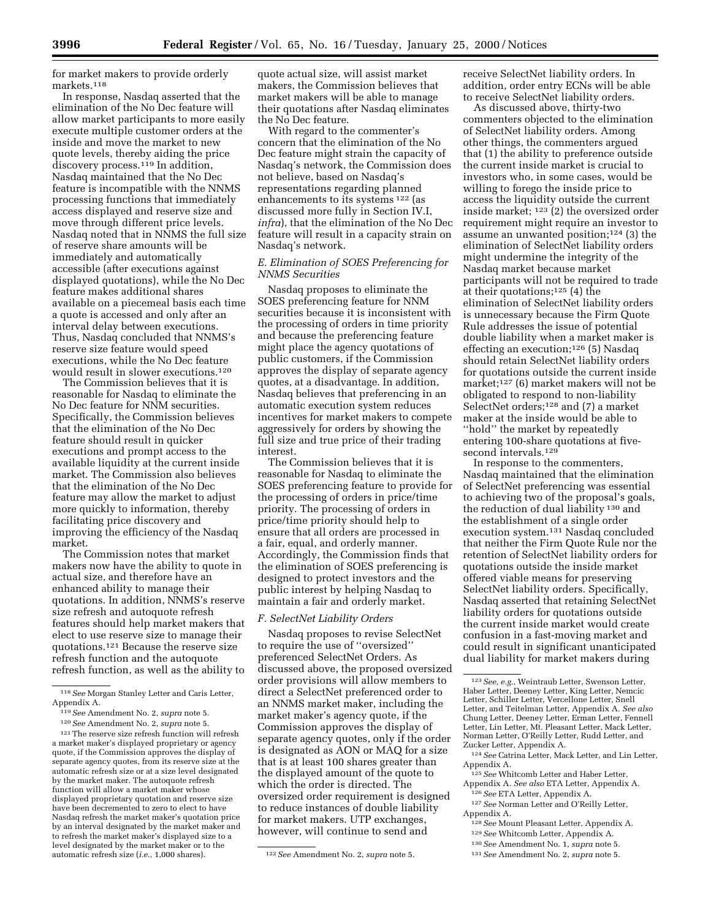for market makers to provide orderly markets.118

In response, Nasdaq asserted that the elimination of the No Dec feature will allow market participants to more easily execute multiple customer orders at the inside and move the market to new quote levels, thereby aiding the price discovery process.<sup>119</sup> In addition, Nasdaq maintained that the No Dec feature is incompatible with the NNMS processing functions that immediately access displayed and reserve size and move through different price levels. Nasdaq noted that in NNMS the full size of reserve share amounts will be immediately and automatically accessible (after executions against displayed quotations), while the No Dec feature makes additional shares available on a piecemeal basis each time a quote is accessed and only after an interval delay between executions. Thus, Nasdaq concluded that NNMS's reserve size feature would speed executions, while the No Dec feature would result in slower executions.120

The Commission believes that it is reasonable for Nasdaq to eliminate the No Dec feature for NNM securities. Specifically, the Commission believes that the elimination of the No Dec feature should result in quicker executions and prompt access to the available liquidity at the current inside market. The Commission also believes that the elimination of the No Dec feature may allow the market to adjust more quickly to information, thereby facilitating price discovery and improving the efficiency of the Nasdaq market.

The Commission notes that market makers now have the ability to quote in actual size, and therefore have an enhanced ability to manage their quotations. In addition, NNMS's reserve size refresh and autoquote refresh features should help market makers that elect to use reserve size to manage their quotations.121 Because the reserve size refresh function and the autoquote refresh function, as well as the ability to

 $^{\rm 121}$  The reserve size refresh function will refresh a market maker's displayed proprietary or agency quote, if the Commission approves the display of separate agency quotes, from its reserve size at the automatic refresh size or at a size level designated by the market maker. The autoquote refresh function will allow a market maker whose displayed proprietary quotation and reserve size have been decremented to zero to elect to have Nasdaq refresh the market maker's quotation price by an interval designated by the market maker and to refresh the market maker's displayed size to a level designated by the market maker or to the automatic refresh size (*i.e.*, 1,000 shares). 122*See* Amendment No. 2, *supra* note 5.

quote actual size, will assist market makers, the Commission believes that market makers will be able to manage their quotations after Nasdaq eliminates the No Dec feature.

With regard to the commenter's concern that the elimination of the No Dec feature might strain the capacity of Nasdaq's network, the Commission does not believe, based on Nasdaq's representations regarding planned enhancements to its systems 122 (as discussed more fully in Section IV.I, *infra*), that the elimination of the No Dec feature will result in a capacity strain on Nasdaq's network.

# *E. Elimination of SOES Preferencing for NNMS Securities*

Nasdaq proposes to eliminate the SOES preferencing feature for NNM securities because it is inconsistent with the processing of orders in time priority and because the preferencing feature might place the agency quotations of public customers, if the Commission approves the display of separate agency quotes, at a disadvantage. In addition, Nasdaq believes that preferencing in an automatic execution system reduces incentives for market makers to compete aggressively for orders by showing the full size and true price of their trading interest.

The Commission believes that it is reasonable for Nasdaq to eliminate the SOES preferencing feature to provide for the processing of orders in price/time priority. The processing of orders in price/time priority should help to ensure that all orders are processed in a fair, equal, and orderly manner. Accordingly, the Commission finds that the elimination of SOES preferencing is designed to protect investors and the public interest by helping Nasdaq to maintain a fair and orderly market.

### *F. SelectNet Liability Orders*

Nasdaq proposes to revise SelectNet to require the use of ''oversized'' preferenced SelectNet Orders. As discussed above, the proposed oversized order provisions will allow members to direct a SelectNet preferenced order to an NNMS market maker, including the market maker's agency quote, if the Commission approves the display of separate agency quotes, only if the order is designated as AON or MAQ for a size that is at least 100 shares greater than the displayed amount of the quote to which the order is directed. The oversized order requirement is designed to reduce instances of double liability for market makers. UTP exchanges, however, will continue to send and

receive SelectNet liability orders. In addition, order entry ECNs will be able to receive SelectNet liability orders.

As discussed above, thirty-two commenters objected to the elimination of SelectNet liability orders. Among other things, the commenters argued that (1) the ability to preference outside the current inside market is crucial to investors who, in some cases, would be willing to forego the inside price to access the liquidity outside the current inside market; 123 (2) the oversized order requirement might require an investor to assume an unwanted position;124 (3) the elimination of SelectNet liability orders might undermine the integrity of the Nasdaq market because market participants will not be required to trade at their quotations;125 (4) the elimination of SelectNet liability orders is unnecessary because the Firm Quote Rule addresses the issue of potential double liability when a market maker is effecting an execution;126 (5) Nasdaq should retain SelectNet liability orders for quotations outside the current inside market;127 (6) market makers will not be obligated to respond to non-liability SelectNet orders;128 and (7) a market maker at the inside would be able to ''hold'' the market by repeatedly entering 100-share quotations at fivesecond intervals.<sup>129</sup>

In response to the commenters, Nasdaq maintained that the elimination of SelectNet preferencing was essential to achieving two of the proposal's goals, the reduction of dual liability 130 and the establishment of a single order execution system.131 Nasdaq concluded that neither the Firm Quote Rule nor the retention of SelectNet liability orders for quotations outside the inside market offered viable means for preserving SelectNet liability orders. Specifically, Nasdaq asserted that retaining SelectNet liability orders for quotations outside the current inside market would create confusion in a fast-moving market and could result in significant unanticipated dual liability for market makers during

- 124*See* Catrina Letter, Mack Letter, and Lin Letter, Appendix A.
- 125*See* Whitcomb Letter and Haber Letter, Appendix A. *See also* ETA Letter, Appendix A.
- 126*See* ETA Letter, Appendix A.
- 127*See* Norman Letter and O'Reilly Letter, Appendix A.
	- 128*See* Mount Pleasant Letter, Appendix A.
	- 129*See* Whitcomb Letter, Appendix A.
	- 130*See* Amendment No. 1, *supra* note 5.
	- 131*See* Amendment No. 2, *supra* note 5.

<sup>118</sup>*See* Morgan Stanley Letter and Caris Letter, Appendix A.

<sup>119</sup>*See* Amendment No. 2, *supra* note 5.

<sup>120</sup>*See* Amendment No. 2, *supra* note 5.

<sup>123</sup>*See, e.g.*, Weintraub Letter, Swenson Letter, Haber Letter, Deeney Letter, King Letter, Nemcic Letter, Schiller Letter, Vercellone Letter, Snell Letter, and Teitelman Letter, Appendix A. *See also* Chung Letter, Deeney Letter, Erman Letter, Fennell Letter, Lin Letter, Mt. Pleasant Letter, Mack Letter, Norman Letter, O'Reilly Letter, Rudd Letter, and Zucker Letter, Appendix A.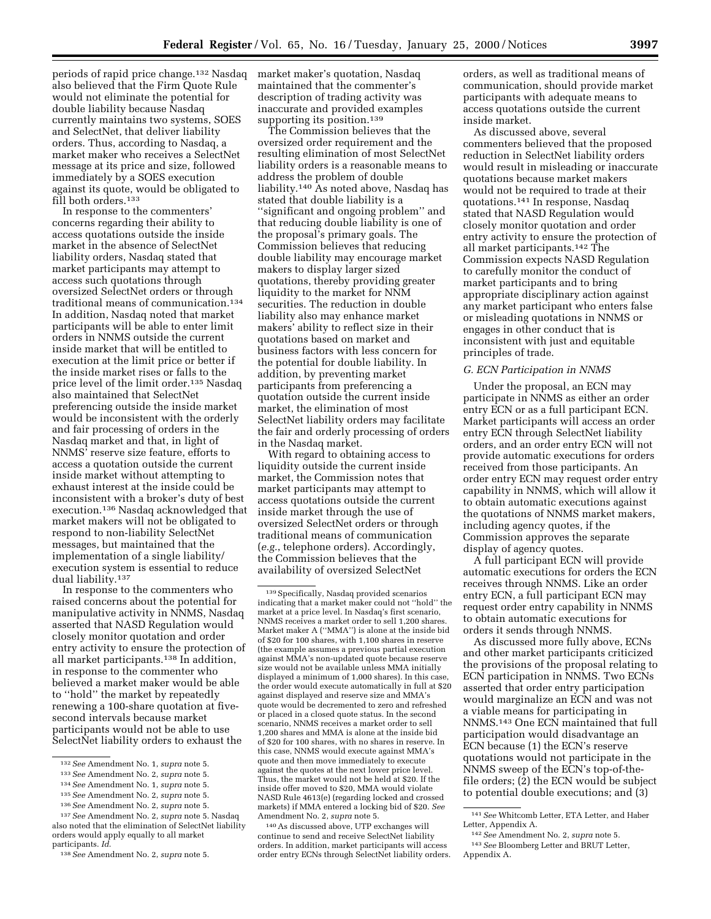periods of rapid price change.132 Nasdaq also believed that the Firm Quote Rule would not eliminate the potential for double liability because Nasdaq currently maintains two systems, SOES and SelectNet, that deliver liability orders. Thus, according to Nasdaq, a market maker who receives a SelectNet message at its price and size, followed immediately by a SOES execution against its quote, would be obligated to fill both orders.<sup>133</sup>

In response to the commenters' concerns regarding their ability to access quotations outside the inside market in the absence of SelectNet liability orders, Nasdaq stated that market participants may attempt to access such quotations through oversized SelectNet orders or through traditional means of communication.134 In addition, Nasdaq noted that market participants will be able to enter limit orders in NNMS outside the current inside market that will be entitled to execution at the limit price or better if the inside market rises or falls to the price level of the limit order.<sup>135</sup> Nasdaq also maintained that SelectNet preferencing outside the inside market would be inconsistent with the orderly and fair processing of orders in the Nasdaq market and that, in light of NNMS' reserve size feature, efforts to access a quotation outside the current inside market without attempting to exhaust interest at the inside could be inconsistent with a broker's duty of best execution.136 Nasdaq acknowledged that market makers will not be obligated to respond to non-liability SelectNet messages, but maintained that the implementation of a single liability/ execution system is essential to reduce dual liability.137

In response to the commenters who raised concerns about the potential for manipulative activity in NNMS, Nasdaq asserted that NASD Regulation would closely monitor quotation and order entry activity to ensure the protection of all market participants.138 In addition, in response to the commenter who believed a market maker would be able to ''hold'' the market by repeatedly renewing a 100-share quotation at fivesecond intervals because market participants would not be able to use SelectNet liability orders to exhaust the

market maker's quotation, Nasdaq maintained that the commenter's description of trading activity was inaccurate and provided examples supporting its position.<sup>139</sup>

The Commission believes that the oversized order requirement and the resulting elimination of most SelectNet liability orders is a reasonable means to address the problem of double liability.140 As noted above, Nasdaq has stated that double liability is a ''significant and ongoing problem'' and that reducing double liability is one of the proposal's primary goals. The Commission believes that reducing double liability may encourage market makers to display larger sized quotations, thereby providing greater liquidity to the market for NNM securities. The reduction in double liability also may enhance market makers' ability to reflect size in their quotations based on market and business factors with less concern for the potential for double liability. In addition, by preventing market participants from preferencing a quotation outside the current inside market, the elimination of most SelectNet liability orders may facilitate the fair and orderly processing of orders in the Nasdaq market.

With regard to obtaining access to liquidity outside the current inside market, the Commission notes that market participants may attempt to access quotations outside the current inside market through the use of oversized SelectNet orders or through traditional means of communication (*e.g.*, telephone orders). Accordingly, the Commission believes that the availability of oversized SelectNet

140As discussed above, UTP exchanges will continue to send and receive SelectNet liability orders. In addition, market participants will access order entry ECNs through SelectNet liability orders.

orders, as well as traditional means of communication, should provide market participants with adequate means to access quotations outside the current inside market.

As discussed above, several commenters believed that the proposed reduction in SelectNet liability orders would result in misleading or inaccurate quotations because market makers would not be required to trade at their quotations.141 In response, Nasdaq stated that NASD Regulation would closely monitor quotation and order entry activity to ensure the protection of all market participants.142 The Commission expects NASD Regulation to carefully monitor the conduct of market participants and to bring appropriate disciplinary action against any market participant who enters false or misleading quotations in NNMS or engages in other conduct that is inconsistent with just and equitable principles of trade.

## *G. ECN Participation in NNMS*

Under the proposal, an ECN may participate in NNMS as either an order entry ECN or as a full participant ECN. Market participants will access an order entry ECN through SelectNet liability orders, and an order entry ECN will not provide automatic executions for orders received from those participants. An order entry ECN may request order entry capability in NNMS, which will allow it to obtain automatic executions against the quotations of NNMS market makers, including agency quotes, if the Commission approves the separate display of agency quotes.

A full participant ECN will provide automatic executions for orders the ECN receives through NNMS. Like an order entry ECN, a full participant ECN may request order entry capability in NNMS to obtain automatic executions for orders it sends through NNMS.

As discussed more fully above, ECNs and other market participants criticized the provisions of the proposal relating to ECN participation in NNMS. Two ECNs asserted that order entry participation would marginalize an ECN and was not a viable means for participating in NNMS.143 One ECN maintained that full participation would disadvantage an ECN because (1) the ECN's reserve quotations would not participate in the NNMS sweep of the ECN's top-of-thefile orders; (2) the ECN would be subject to potential double executions; and (3)

<sup>132</sup>*See* Amendment No. 1, *supra* note 5.

<sup>133</sup>*See* Amendment No. 2, *supra* note 5.

<sup>134</sup>*See* Amendment No. 1, *supra* note 5.

<sup>135</sup>*See* Amendment No. 2, *supra* note 5.

<sup>136</sup>*See* Amendment No. 2, *supra* note 5.

<sup>137</sup>*See* Amendment No. 2, *supra* note 5. Nasdaq also noted that the elimination of SelectNet liability orders would apply equally to all market participants. *Id*.

<sup>138</sup>*See* Amendment No. 2, *supra* note 5.

<sup>139</sup>Specifically, Nasdaq provided scenarios indicating that a market maker could not ''hold'' the market at a price level. In Nasdaq's first scenario, NNMS receives a market order to sell 1,200 shares. Market maker A (''MMA'') is alone at the inside bid of \$20 for 100 shares, with 1,100 shares in reserve (the example assumes a previous partial execution against MMA's non-updated quote because reserve size would not be available unless MMA initially displayed a minimum of 1,000 shares). In this case, the order would execute automatically in full at \$20 against displayed and reserve size and MMA's quote would be decremented to zero and refreshed or placed in a closed quote status. In the second scenario, NNMS receives a market order to sell 1,200 shares and MMA is alone at the inside bid of \$20 for 100 shares, with no shares in reserve. In this case, NNMS would execute against MMA's quote and then move immediately to execute against the quotes at the next lower price level. Thus, the market would not be held at \$20. If the inside offer moved to \$20, MMA would violate NASD Rule 4613(e) (regarding locked and crossed markets) if MMA entered a locking bid of \$20. *See* Amendment No. 2, *supra* note 5.

<sup>141</sup>*See* Whitcomb Letter, ETA Letter, and Haber Letter, Appendix A.

<sup>142</sup>*See* Amendment No. 2, *supra* note 5. 143*See* Bloomberg Letter and BRUT Letter, Appendix A.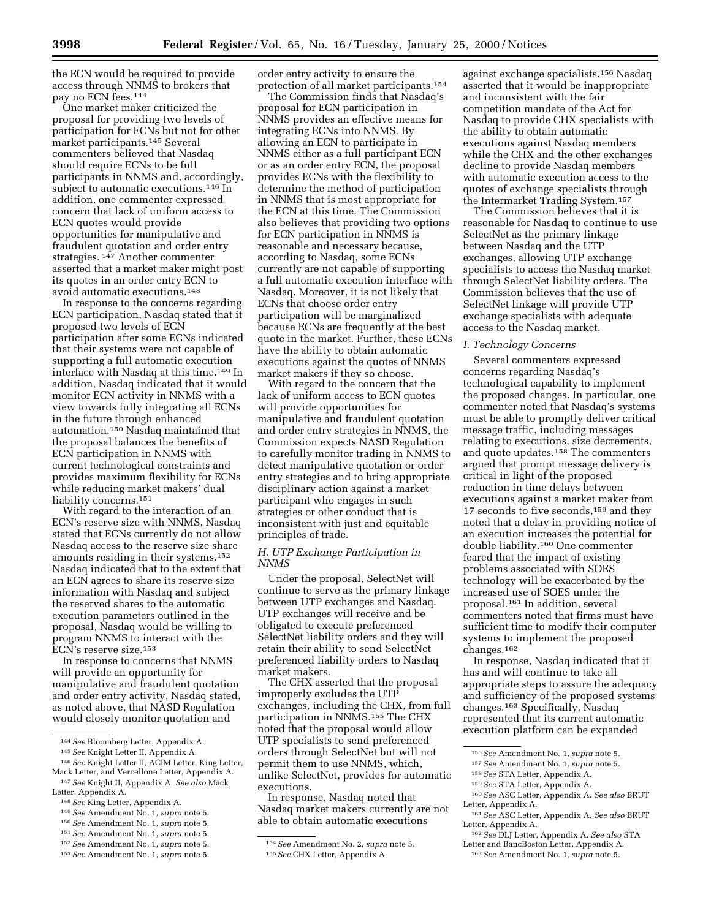the ECN would be required to provide access through NNMS to brokers that pay no ECN fees.144

One market maker criticized the proposal for providing two levels of participation for ECNs but not for other market participants.145 Several commenters believed that Nasdaq should require ECNs to be full participants in NNMS and, accordingly, subject to automatic executions.146 In addition, one commenter expressed concern that lack of uniform access to ECN quotes would provide opportunities for manipulative and fraudulent quotation and order entry strategies. 147 Another commenter asserted that a market maker might post its quotes in an order entry ECN to avoid automatic executions.148

In response to the concerns regarding ECN participation, Nasdaq stated that it proposed two levels of ECN participation after some ECNs indicated that their systems were not capable of supporting a full automatic execution interface with Nasdaq at this time.149 In addition, Nasdaq indicated that it would monitor ECN activity in NNMS with a view towards fully integrating all ECNs in the future through enhanced automation.150 Nasdaq maintained that the proposal balances the benefits of ECN participation in NNMS with current technological constraints and provides maximum flexibility for ECNs while reducing market makers' dual liability concerns.151

With regard to the interaction of an ECN's reserve size with NNMS, Nasdaq stated that ECNs currently do not allow Nasdaq access to the reserve size share amounts residing in their systems.152 Nasdaq indicated that to the extent that an ECN agrees to share its reserve size information with Nasdaq and subject the reserved shares to the automatic execution parameters outlined in the proposal, Nasdaq would be willing to program NNMS to interact with the ECN's reserve size.153

In response to concerns that NNMS will provide an opportunity for manipulative and fraudulent quotation and order entry activity, Nasdaq stated, as noted above, that NASD Regulation would closely monitor quotation and

148*See* King Letter, Appendix A.

- 151*See* Amendment No. 1, *supra* note 5.
- 152*See* Amendment No. 1, *supra* note 5.
- 153*See* Amendment No. 1, *supra* note 5.

order entry activity to ensure the protection of all market participants.154

The Commission finds that Nasdaq's proposal for ECN participation in NNMS provides an effective means for integrating ECNs into NNMS. By allowing an ECN to participate in NNMS either as a full participant ECN or as an order entry ECN, the proposal provides ECNs with the flexibility to determine the method of participation in NNMS that is most appropriate for the ECN at this time. The Commission also believes that providing two options for ECN participation in NNMS is reasonable and necessary because, according to Nasdaq, some ECNs currently are not capable of supporting a full automatic execution interface with Nasdaq. Moreover, it is not likely that ECNs that choose order entry participation will be marginalized because ECNs are frequently at the best quote in the market. Further, these ECNs have the ability to obtain automatic executions against the quotes of NNMS market makers if they so choose.

With regard to the concern that the lack of uniform access to ECN quotes will provide opportunities for manipulative and fraudulent quotation and order entry strategies in NNMS, the Commission expects NASD Regulation to carefully monitor trading in NNMS to detect manipulative quotation or order entry strategies and to bring appropriate disciplinary action against a market participant who engages in such strategies or other conduct that is inconsistent with just and equitable principles of trade.

# *H. UTP Exchange Participation in NNMS*

Under the proposal, SelectNet will continue to serve as the primary linkage between UTP exchanges and Nasdaq. UTP exchanges will receive and be obligated to execute preferenced SelectNet liability orders and they will retain their ability to send SelectNet preferenced liability orders to Nasdaq market makers.

The CHX asserted that the proposal improperly excludes the UTP exchanges, including the CHX, from full participation in NNMS.155 The CHX noted that the proposal would allow UTP specialists to send preferenced orders through SelectNet but will not permit them to use NNMS, which, unlike SelectNet, provides for automatic executions.

In response, Nasdaq noted that Nasdaq market makers currently are not able to obtain automatic executions

against exchange specialists.156 Nasdaq asserted that it would be inappropriate and inconsistent with the fair competition mandate of the Act for Nasdaq to provide CHX specialists with the ability to obtain automatic executions against Nasdaq members while the CHX and the other exchanges decline to provide Nasdaq members with automatic execution access to the quotes of exchange specialists through the Intermarket Trading System.157

The Commission believes that it is reasonable for Nasdaq to continue to use SelectNet as the primary linkage between Nasdaq and the UTP exchanges, allowing UTP exchange specialists to access the Nasdaq market through SelectNet liability orders. The Commission believes that the use of SelectNet linkage will provide UTP exchange specialists with adequate access to the Nasdaq market.

#### *I. Technology Concerns*

Several commenters expressed concerns regarding Nasdaq's technological capability to implement the proposed changes. In particular, one commenter noted that Nasdaq's systems must be able to promptly deliver critical message traffic, including messages relating to executions, size decrements, and quote updates.158 The commenters argued that prompt message delivery is critical in light of the proposed reduction in time delays between executions against a market maker from 17 seconds to five seconds,<sup>159</sup> and they noted that a delay in providing notice of an execution increases the potential for double liability.160 One commenter feared that the impact of existing problems associated with SOES technology will be exacerbated by the increased use of SOES under the proposal.161 In addition, several commenters noted that firms must have sufficient time to modify their computer systems to implement the proposed changes.162

In response, Nasdaq indicated that it has and will continue to take all appropriate steps to assure the adequacy and sufficiency of the proposed systems changes.163 Specifically, Nasdaq represented that its current automatic execution platform can be expanded

157*See* Amendment No. 1, *supra* note 5.

161*See* ASC Letter, Appendix A. *See also* BRUT Letter, Appendix A.

<sup>144</sup>*See* Bloomberg Letter, Appendix A.

<sup>145</sup>*See* Knight Letter II, Appendix A.

<sup>146</sup>*See* Knight Letter II, ACIM Letter, King Letter, Mack Letter, and Vercellone Letter, Appendix A.

<sup>147</sup>*See* Knight II, Appendix A. *See also* Mack Letter, Appendix A.

<sup>149</sup>*See* Amendment No. 1, *supra* note 5. 150*See* Amendment No. 1, *supra* note 5.

<sup>154</sup>*See* Amendment No. 2, *supra* note 5. 155*See* CHX Letter, Appendix A.

<sup>156</sup>*See* Amendment No. 1, *supra* note 5.

<sup>158</sup>*See* STA Letter, Appendix A.

<sup>159</sup>*See* STA Letter, Appendix A.

<sup>160</sup>*See* ASC Letter, Appendix A. *See also* BRUT Letter, Appendix A.

<sup>162</sup>*See* DLJ Letter, Appendix A. *See also* STA Letter and BancBoston Letter, Appendix A.

<sup>163</sup>*See* Amendment No. 1, *supra* note 5.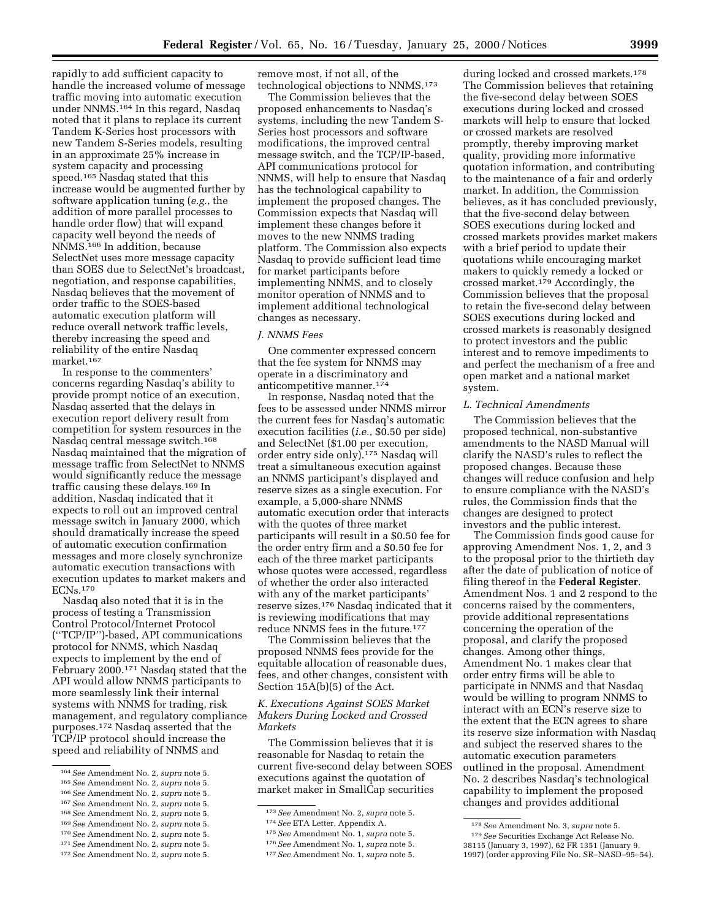rapidly to add sufficient capacity to handle the increased volume of message traffic moving into automatic execution under NNMS.164 In this regard, Nasdaq noted that it plans to replace its current Tandem K-Series host processors with new Tandem S-Series models, resulting in an approximate 25% increase in system capacity and processing speed.165 Nasdaq stated that this increase would be augmented further by software application tuning (*e.g.*, the addition of more parallel processes to handle order flow) that will expand capacity well beyond the needs of NNMS.166 In addition, because SelectNet uses more message capacity than SOES due to SelectNet's broadcast, negotiation, and response capabilities, Nasdaq believes that the movement of order traffic to the SOES-based automatic execution platform will reduce overall network traffic levels, thereby increasing the speed and reliability of the entire Nasdaq market.167

In response to the commenters' concerns regarding Nasdaq's ability to provide prompt notice of an execution, Nasdaq asserted that the delays in execution report delivery result from competition for system resources in the Nasdaq central message switch.168 Nasdaq maintained that the migration of message traffic from SelectNet to NNMS would significantly reduce the message traffic causing these delays.169 In addition, Nasdaq indicated that it expects to roll out an improved central message switch in January 2000, which should dramatically increase the speed of automatic execution confirmation messages and more closely synchronize automatic execution transactions with execution updates to market makers and ECNs.170

Nasdaq also noted that it is in the process of testing a Transmission Control Protocol/Internet Protocol (''TCP/IP'')-based, API communications protocol for NNMS, which Nasdaq expects to implement by the end of February 2000.171 Nasdaq stated that the API would allow NNMS participants to more seamlessly link their internal systems with NNMS for trading, risk management, and regulatory compliance purposes.172 Nasdaq asserted that the TCP/IP protocol should increase the speed and reliability of NNMS and

- 169*See* Amendment No. 2, *supra* note 5.
- 170*See* Amendment No. 2, *supra* note 5.

remove most, if not all, of the technological objections to NNMS.173

The Commission believes that the proposed enhancements to Nasdaq's systems, including the new Tandem S-Series host processors and software modifications, the improved central message switch, and the TCP/IP-based, API communications protocol for NNMS, will help to ensure that Nasdaq has the technological capability to implement the proposed changes. The Commission expects that Nasdaq will implement these changes before it moves to the new NNMS trading platform. The Commission also expects Nasdaq to provide sufficient lead time for market participants before implementing NNMS, and to closely monitor operation of NNMS and to implement additional technological changes as necessary.

# *J. NNMS Fees*

One commenter expressed concern that the fee system for NNMS may operate in a discriminatory and anticompetitive manner.174

In response, Nasdaq noted that the fees to be assessed under NNMS mirror the current fees for Nasdaq's automatic execution facilities (*i.e.*, \$0.50 per side) and SelectNet (\$1.00 per execution, order entry side only).175 Nasdaq will treat a simultaneous execution against an NNMS participant's displayed and reserve sizes as a single execution. For example, a 5,000-share NNMS automatic execution order that interacts with the quotes of three market participants will result in a \$0.50 fee for the order entry firm and a \$0.50 fee for each of the three market participants whose quotes were accessed, regardless of whether the order also interacted with any of the market participants' reserve sizes.176 Nasdaq indicated that it is reviewing modifications that may reduce NNMS fees in the future.177

The Commission believes that the proposed NNMS fees provide for the equitable allocation of reasonable dues, fees, and other changes, consistent with Section 15A(b)(5) of the Act.

# *K. Executions Against SOES Market Makers During Locked and Crossed Markets*

The Commission believes that it is reasonable for Nasdaq to retain the current five-second delay between SOES executions against the quotation of market maker in SmallCap securities

during locked and crossed markets.<sup>178</sup> The Commission believes that retaining the five-second delay between SOES executions during locked and crossed markets will help to ensure that locked or crossed markets are resolved promptly, thereby improving market quality, providing more informative quotation information, and contributing to the maintenance of a fair and orderly market. In addition, the Commission believes, as it has concluded previously, that the five-second delay between SOES executions during locked and crossed markets provides market makers with a brief period to update their quotations while encouraging market makers to quickly remedy a locked or crossed market.179 Accordingly, the Commission believes that the proposal to retain the five-second delay between SOES executions during locked and crossed markets is reasonably designed to protect investors and the public interest and to remove impediments to and perfect the mechanism of a free and open market and a national market system.

### *L. Technical Amendments*

The Commission believes that the proposed technical, non-substantive amendments to the NASD Manual will clarify the NASD's rules to reflect the proposed changes. Because these changes will reduce confusion and help to ensure compliance with the NASD's rules, the Commission finds that the changes are designed to protect investors and the public interest.

The Commission finds good cause for approving Amendment Nos. 1, 2, and 3 to the proposal prior to the thirtieth day after the date of publication of notice of filing thereof in the **Federal Register**. Amendment Nos. 1 and 2 respond to the concerns raised by the commenters, provide additional representations concerning the operation of the proposal, and clarify the proposed changes. Among other things, Amendment No. 1 makes clear that order entry firms will be able to participate in NNMS and that Nasdaq would be willing to program NNMS to interact with an ECN's reserve size to the extent that the ECN agrees to share its reserve size information with Nasdaq and subject the reserved shares to the automatic execution parameters outlined in the proposal. Amendment No. 2 describes Nasdaq's technological capability to implement the proposed changes and provides additional

<sup>164</sup>*See* Amendment No. 2, *supra* note 5.

<sup>165</sup>*See* Amendment No. 2, *supra* note 5. 166*See* Amendment No. 2, *supra* note 5.

<sup>167</sup>*See* Amendment No. 2, *supra* note 5.

<sup>168</sup>*See* Amendment No. 2, *supra* note 5.

<sup>171</sup>*See* Amendment No. 2, *supra* note 5.

<sup>172</sup>*See* Amendment No. 2, *supra* note 5.

<sup>173</sup>*See* Amendment No. 2, *supra* note 5.

<sup>174</sup>*See* ETA Letter, Appendix A.

<sup>175</sup>*See* Amendment No. 1, *supra* note 5.

<sup>176</sup>*See* Amendment No. 1, *supra* note 5.

<sup>177</sup>*See* Amendment No. 1, *supra* note 5.

<sup>178</sup>*See* Amendment No. 3, *supra* note 5. 179*See* Securities Exchange Act Release No. 38115 (January 3, 1997), 62 FR 1351 (January 9, 1997) (order approving File No. SR–NASD–95–54).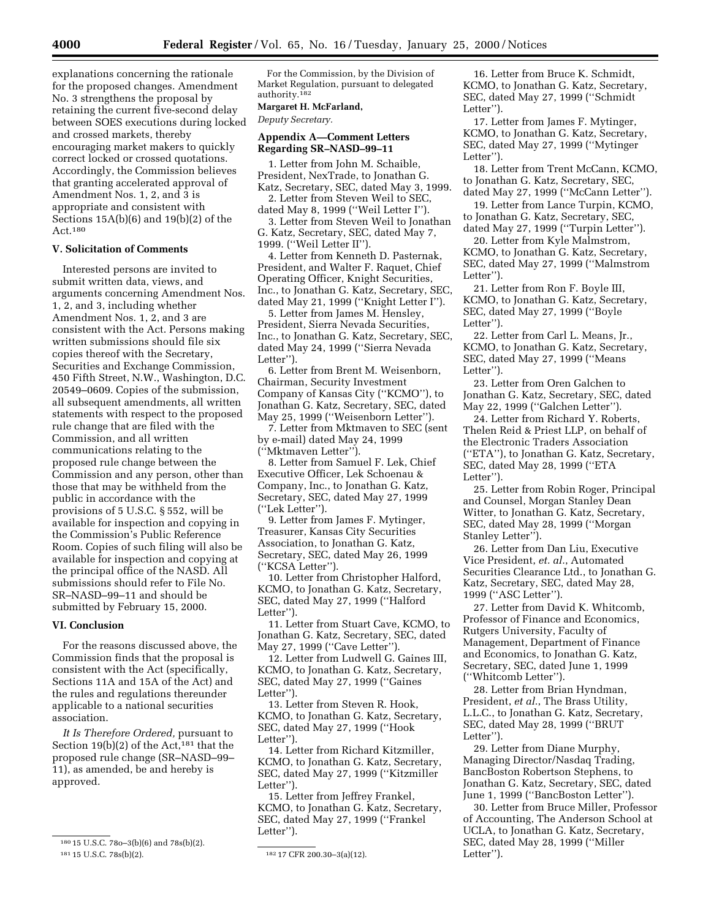explanations concerning the rationale for the proposed changes. Amendment No. 3 strengthens the proposal by retaining the current five-second delay between SOES executions during locked and crossed markets, thereby encouraging market makers to quickly correct locked or crossed quotations. Accordingly, the Commission believes that granting accelerated approval of Amendment Nos. 1, 2, and 3 is appropriate and consistent with Sections 15A(b)(6) and 19(b)(2) of the Act.180

### **V. Solicitation of Comments**

Interested persons are invited to submit written data, views, and arguments concerning Amendment Nos. 1, 2, and 3, including whether Amendment Nos. 1, 2, and 3 are consistent with the Act. Persons making written submissions should file six copies thereof with the Secretary, Securities and Exchange Commission, 450 Fifth Street, N.W., Washington, D.C. 20549–0609. Copies of the submission, all subsequent amendments, all written statements with respect to the proposed rule change that are filed with the Commission, and all written communications relating to the proposed rule change between the Commission and any person, other than those that may be withheld from the public in accordance with the provisions of 5 U.S.C. § 552, will be available for inspection and copying in the Commission's Public Reference Room. Copies of such filing will also be available for inspection and copying at the principal office of the NASD. All submissions should refer to File No. SR–NASD–99–11 and should be submitted by February 15, 2000.

# **VI. Conclusion**

For the reasons discussed above, the Commission finds that the proposal is consistent with the Act (specifically, Sections 11A and 15A of the Act) and the rules and regulations thereunder applicable to a national securities association.

*It Is Therefore Ordered,* pursuant to Section 19(b)(2) of the Act,<sup>181</sup> that the proposed rule change (SR–NASD–99– 11), as amended, be and hereby is approved.

For the Commission, by the Division of Market Regulation, pursuant to delegated authority.182

#### **Margaret H. McFarland,**

*Deputy Secretary.*

### **Appendix A—Comment Letters Regarding SR–NASD–99–11**

1. Letter from John M. Schaible, President, NexTrade, to Jonathan G. Katz, Secretary, SEC, dated May 3, 1999.

2. Letter from Steven Weil to SEC, dated May 8, 1999 (''Weil Letter I'').

3. Letter from Steven Weil to Jonathan G. Katz, Secretary, SEC, dated May 7, 1999. (''Weil Letter II'').

4. Letter from Kenneth D. Pasternak, President, and Walter F. Raquet, Chief Operating Officer, Knight Securities, Inc., to Jonathan G. Katz, Secretary, SEC, dated May 21, 1999 (''Knight Letter I'').

5. Letter from James M. Hensley, President, Sierra Nevada Securities, Inc., to Jonathan G. Katz, Secretary, SEC, dated May 24, 1999 (''Sierra Nevada Letter").

6. Letter from Brent M. Weisenborn, Chairman, Security Investment Company of Kansas City (''KCMO''), to Jonathan G. Katz, Secretary, SEC, dated May 25, 1999 (''Weisenborn Letter'').

7. Letter from Mktmaven to SEC (sent by e-mail) dated May 24, 1999 (''Mktmaven Letter'').

8. Letter from Samuel F. Lek, Chief Executive Officer, Lek Schoenau & Company, Inc., to Jonathan G. Katz, Secretary, SEC, dated May 27, 1999 (''Lek Letter'').

9. Letter from James F. Mytinger, Treasurer, Kansas City Securities Association, to Jonathan G. Katz, Secretary, SEC, dated May 26, 1999 (''KCSA Letter'').

10. Letter from Christopher Halford, KCMO, to Jonathan G. Katz, Secretary, SEC, dated May 27, 1999 (''Halford Letter").

11. Letter from Stuart Cave, KCMO, to Jonathan G. Katz, Secretary, SEC, dated May 27, 1999 (''Cave Letter'').

12. Letter from Ludwell G. Gaines III, KCMO, to Jonathan G. Katz, Secretary, SEC, dated May 27, 1999 (''Gaines Letter").

13. Letter from Steven R. Hook, KCMO, to Jonathan G. Katz, Secretary, SEC, dated May 27, 1999 (''Hook Letter'').

14. Letter from Richard Kitzmiller, KCMO, to Jonathan G. Katz, Secretary, SEC, dated May 27, 1999 (''Kitzmiller Letter").

15. Letter from Jeffrey Frankel, KCMO, to Jonathan G. Katz, Secretary, SEC, dated May 27, 1999 (''Frankel Letter").

16. Letter from Bruce K. Schmidt, KCMO, to Jonathan G. Katz, Secretary, SEC, dated May 27, 1999 (''Schmidt Letter").

17. Letter from James F. Mytinger, KCMO, to Jonathan G. Katz, Secretary, SEC, dated May 27, 1999 (''Mytinger Letter'').

18. Letter from Trent McCann, KCMO, to Jonathan G. Katz, Secretary, SEC, dated May 27, 1999 (''McCann Letter'').

19. Letter from Lance Turpin, KCMO, to Jonathan G. Katz, Secretary, SEC, dated May 27, 1999 (''Turpin Letter'').

20. Letter from Kyle Malmstrom, KCMO, to Jonathan G. Katz, Secretary, SEC, dated May 27, 1999 (''Malmstrom Letter").

21. Letter from Ron F. Boyle III, KCMO, to Jonathan G. Katz, Secretary, SEC, dated May 27, 1999 (''Boyle Letter'').

22. Letter from Carl L. Means, Jr., KCMO, to Jonathan G. Katz, Secretary, SEC, dated May 27, 1999 (''Means Letter").

23. Letter from Oren Galchen to Jonathan G. Katz, Secretary, SEC, dated May 22, 1999 (''Galchen Letter'').

24. Letter from Richard Y. Roberts, Thelen Reid & Priest LLP, on behalf of the Electronic Traders Association (''ETA''), to Jonathan G. Katz, Secretary, SEC, dated May 28, 1999 (''ETA Letter").

25. Letter from Robin Roger, Principal and Counsel, Morgan Stanley Dean Witter, to Jonathan G. Katz, Secretary, SEC, dated May 28, 1999 (''Morgan Stanley Letter'').

26. Letter from Dan Liu, Executive Vice President, *et. al.*, Automated Securities Clearance Ltd., to Jonathan G. Katz, Secretary, SEC, dated May 28, 1999 (''ASC Letter'').

27. Letter from David K. Whitcomb, Professor of Finance and Economics, Rutgers University, Faculty of Management, Department of Finance and Economics, to Jonathan G. Katz, Secretary, SEC, dated June 1, 1999 (''Whitcomb Letter'').

28. Letter from Brian Hyndman, President, *et al.*, The Brass Utility, L.L.C., to Jonathan G. Katz, Secretary, SEC, dated May 28, 1999 (''BRUT Letter'').

29. Letter from Diane Murphy, Managing Director/Nasdaq Trading, BancBoston Robertson Stephens, to Jonathan G. Katz, Secretary, SEC, dated June 1, 1999 (''BancBoston Letter'').

30. Letter from Bruce Miller, Professor of Accounting, The Anderson School at UCLA, to Jonathan G. Katz, Secretary, SEC, dated May 28, 1999 (''Miller Letter'').

<sup>180</sup> 15 U.S.C. 78o–3(b)(6) and 78s(b)(2). 181 15 U.S.C. 78s(b)(2). 182 17 CFR 200.30-3(a)(12).